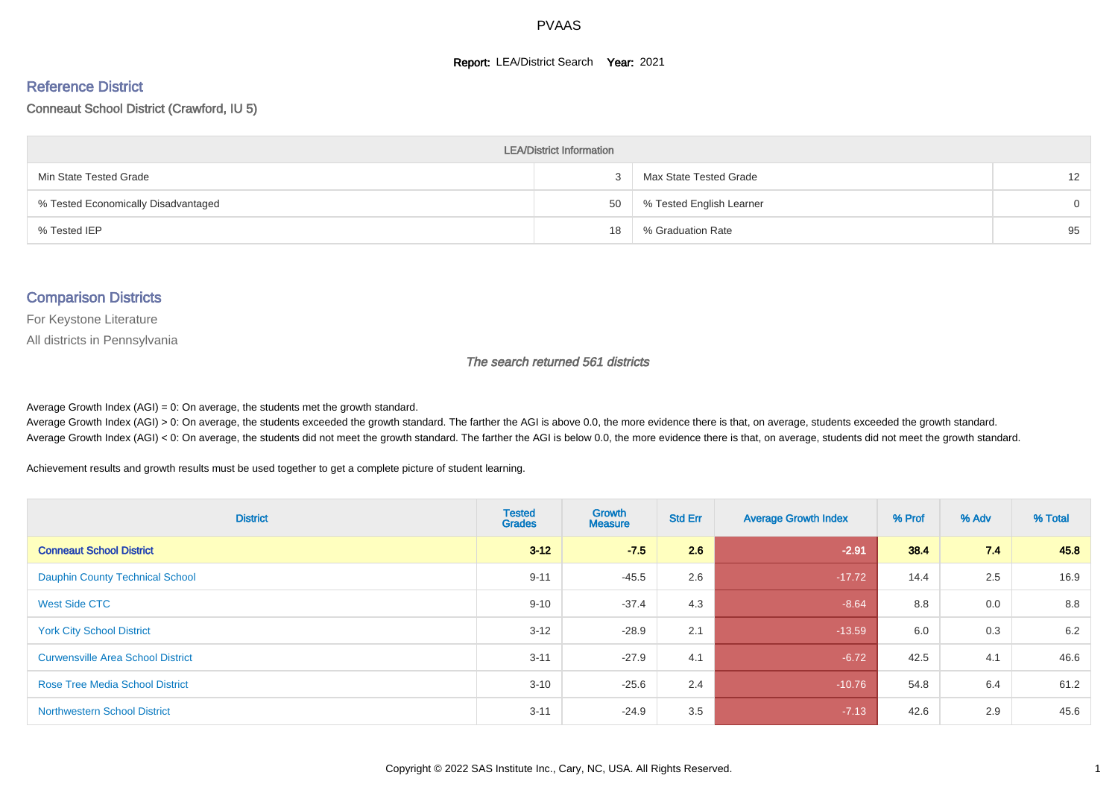#### **Report: LEA/District Search Year: 2021**

#### Reference District

#### Conneaut School District (Crawford, IU 5)

| <b>LEA/District Information</b>     |    |                          |                   |  |  |  |  |  |  |  |
|-------------------------------------|----|--------------------------|-------------------|--|--|--|--|--|--|--|
| Min State Tested Grade              | 3  | Max State Tested Grade   | $12 \overline{ }$ |  |  |  |  |  |  |  |
| % Tested Economically Disadvantaged | 50 | % Tested English Learner | $\Omega$          |  |  |  |  |  |  |  |
| % Tested IEP                        | 18 | % Graduation Rate        | 95                |  |  |  |  |  |  |  |

#### Comparison Districts

For Keystone Literature

All districts in Pennsylvania

The search returned 561 districts

Average Growth Index  $(AGI) = 0$ : On average, the students met the growth standard.

Average Growth Index (AGI) > 0: On average, the students exceeded the growth standard. The farther the AGI is above 0.0, the more evidence there is that, on average, students exceeded the growth standard. Average Growth Index (AGI) < 0: On average, the students did not meet the growth standard. The farther the AGI is below 0.0, the more evidence there is that, on average, students did not meet the growth standard.

Achievement results and growth results must be used together to get a complete picture of student learning.

| <b>District</b>                          | <b>Tested</b><br><b>Grades</b> | Growth<br><b>Measure</b> | <b>Std Err</b> | <b>Average Growth Index</b> | % Prof | % Adv | % Total |
|------------------------------------------|--------------------------------|--------------------------|----------------|-----------------------------|--------|-------|---------|
| <b>Conneaut School District</b>          | $3 - 12$                       | $-7.5$                   | 2.6            | $-2.91$                     | 38.4   | 7.4   | 45.8    |
| <b>Dauphin County Technical School</b>   | $9 - 11$                       | $-45.5$                  | 2.6            | $-17.72$                    | 14.4   | 2.5   | 16.9    |
| <b>West Side CTC</b>                     | $9 - 10$                       | $-37.4$                  | 4.3            | $-8.64$                     | 8.8    | 0.0   | 8.8     |
| <b>York City School District</b>         | $3 - 12$                       | $-28.9$                  | 2.1            | $-13.59$                    | 6.0    | 0.3   | 6.2     |
| <b>Curwensville Area School District</b> | $3 - 11$                       | $-27.9$                  | 4.1            | $-6.72$                     | 42.5   | 4.1   | 46.6    |
| <b>Rose Tree Media School District</b>   | $3 - 10$                       | $-25.6$                  | 2.4            | $-10.76$                    | 54.8   | 6.4   | 61.2    |
| <b>Northwestern School District</b>      | $3 - 11$                       | $-24.9$                  | 3.5            | $-7.13$                     | 42.6   | 2.9   | 45.6    |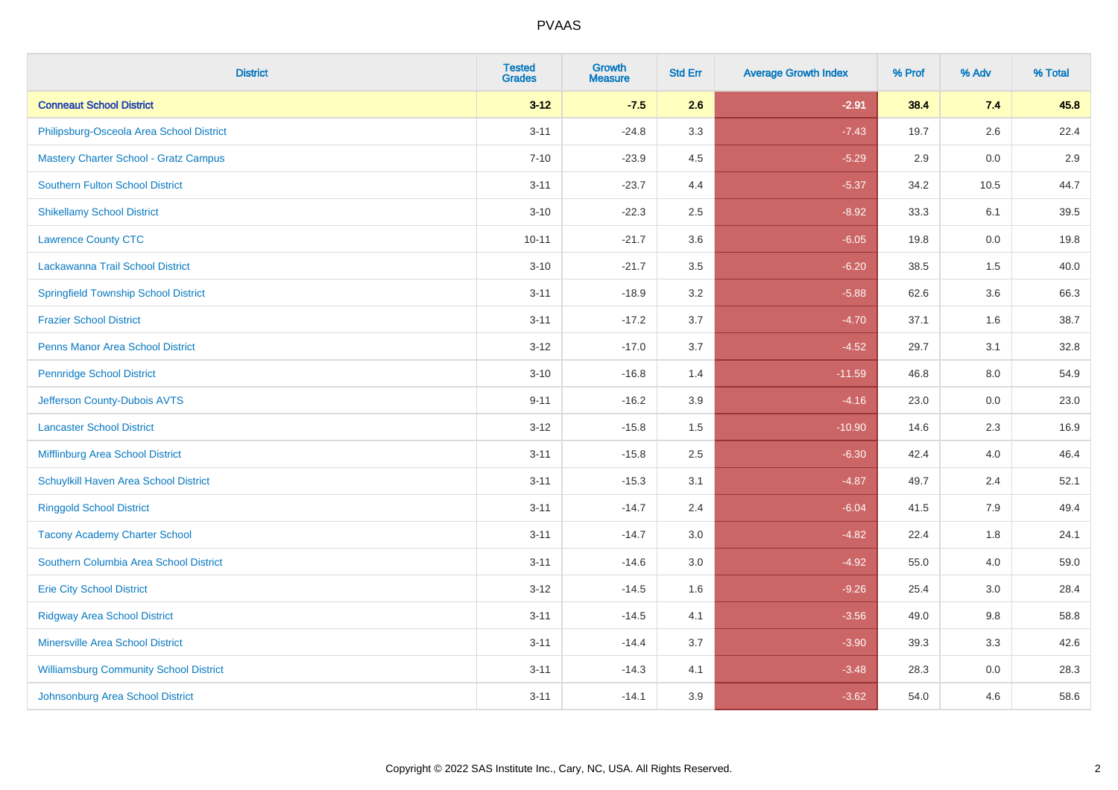| <b>District</b>                               | <b>Tested</b><br><b>Grades</b> | <b>Growth</b><br><b>Measure</b> | <b>Std Err</b> | <b>Average Growth Index</b> | % Prof | % Adv | % Total |
|-----------------------------------------------|--------------------------------|---------------------------------|----------------|-----------------------------|--------|-------|---------|
| <b>Conneaut School District</b>               | $3 - 12$                       | $-7.5$                          | 2.6            | $-2.91$                     | 38.4   | 7.4   | 45.8    |
| Philipsburg-Osceola Area School District      | $3 - 11$                       | $-24.8$                         | 3.3            | $-7.43$                     | 19.7   | 2.6   | 22.4    |
| <b>Mastery Charter School - Gratz Campus</b>  | $7 - 10$                       | $-23.9$                         | 4.5            | $-5.29$                     | 2.9    | 0.0   | 2.9     |
| <b>Southern Fulton School District</b>        | $3 - 11$                       | $-23.7$                         | 4.4            | $-5.37$                     | 34.2   | 10.5  | 44.7    |
| <b>Shikellamy School District</b>             | $3 - 10$                       | $-22.3$                         | 2.5            | $-8.92$                     | 33.3   | 6.1   | 39.5    |
| <b>Lawrence County CTC</b>                    | $10 - 11$                      | $-21.7$                         | 3.6            | $-6.05$                     | 19.8   | 0.0   | 19.8    |
| Lackawanna Trail School District              | $3 - 10$                       | $-21.7$                         | 3.5            | $-6.20$                     | 38.5   | 1.5   | 40.0    |
| <b>Springfield Township School District</b>   | $3 - 11$                       | $-18.9$                         | 3.2            | $-5.88$                     | 62.6   | 3.6   | 66.3    |
| <b>Frazier School District</b>                | $3 - 11$                       | $-17.2$                         | 3.7            | $-4.70$                     | 37.1   | 1.6   | 38.7    |
| <b>Penns Manor Area School District</b>       | $3 - 12$                       | $-17.0$                         | 3.7            | $-4.52$                     | 29.7   | 3.1   | 32.8    |
| <b>Pennridge School District</b>              | $3 - 10$                       | $-16.8$                         | 1.4            | $-11.59$                    | 46.8   | 8.0   | 54.9    |
| Jefferson County-Dubois AVTS                  | $9 - 11$                       | $-16.2$                         | 3.9            | $-4.16$                     | 23.0   | 0.0   | 23.0    |
| <b>Lancaster School District</b>              | $3 - 12$                       | $-15.8$                         | $1.5\,$        | $-10.90$                    | 14.6   | 2.3   | 16.9    |
| Mifflinburg Area School District              | $3 - 11$                       | $-15.8$                         | 2.5            | $-6.30$                     | 42.4   | 4.0   | 46.4    |
| Schuylkill Haven Area School District         | $3 - 11$                       | $-15.3$                         | 3.1            | $-4.87$                     | 49.7   | 2.4   | 52.1    |
| <b>Ringgold School District</b>               | $3 - 11$                       | $-14.7$                         | 2.4            | $-6.04$                     | 41.5   | 7.9   | 49.4    |
| <b>Tacony Academy Charter School</b>          | $3 - 11$                       | $-14.7$                         | 3.0            | $-4.82$                     | 22.4   | 1.8   | 24.1    |
| Southern Columbia Area School District        | $3 - 11$                       | $-14.6$                         | 3.0            | $-4.92$                     | 55.0   | 4.0   | 59.0    |
| <b>Erie City School District</b>              | $3 - 12$                       | $-14.5$                         | 1.6            | $-9.26$                     | 25.4   | 3.0   | 28.4    |
| <b>Ridgway Area School District</b>           | $3 - 11$                       | $-14.5$                         | 4.1            | $-3.56$                     | 49.0   | 9.8   | 58.8    |
| <b>Minersville Area School District</b>       | $3 - 11$                       | $-14.4$                         | 3.7            | $-3.90$                     | 39.3   | 3.3   | 42.6    |
| <b>Williamsburg Community School District</b> | $3 - 11$                       | $-14.3$                         | 4.1            | $-3.48$                     | 28.3   | 0.0   | 28.3    |
| Johnsonburg Area School District              | $3 - 11$                       | $-14.1$                         | 3.9            | $-3.62$                     | 54.0   | 4.6   | 58.6    |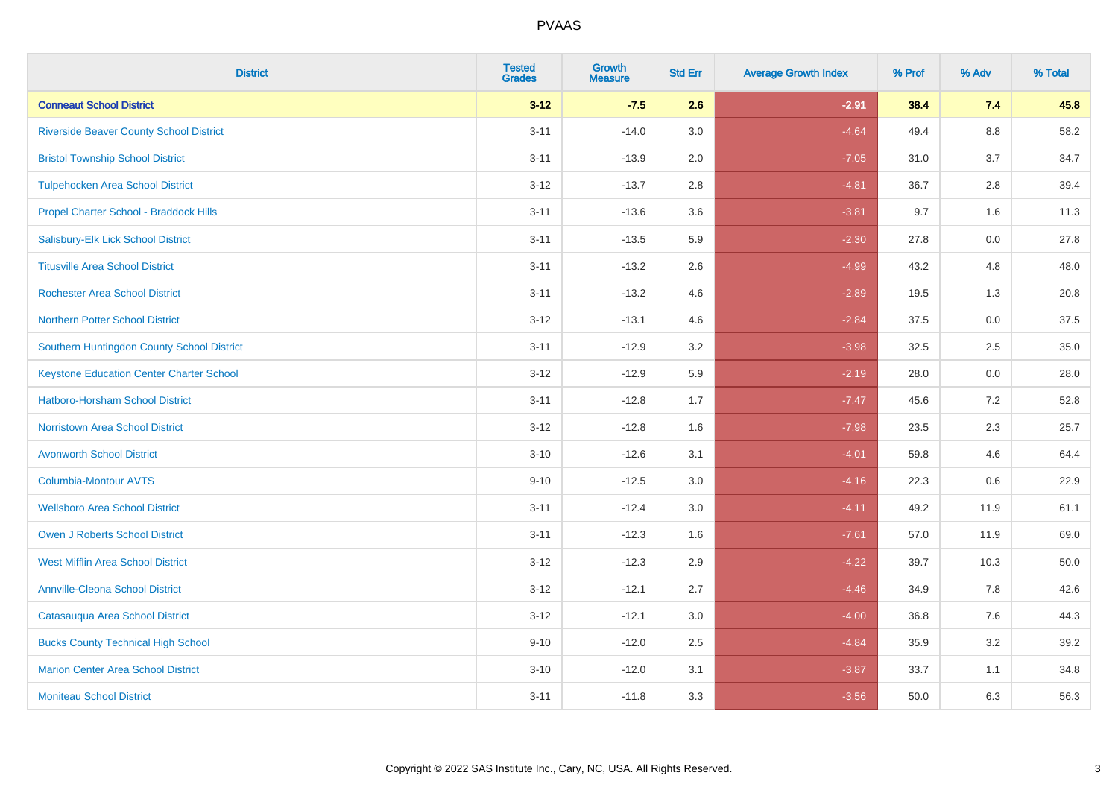| <b>District</b>                                 | <b>Tested</b><br><b>Grades</b> | <b>Growth</b><br><b>Measure</b> | <b>Std Err</b> | <b>Average Growth Index</b> | % Prof | % Adv   | % Total |
|-------------------------------------------------|--------------------------------|---------------------------------|----------------|-----------------------------|--------|---------|---------|
| <b>Conneaut School District</b>                 | $3 - 12$                       | $-7.5$                          | 2.6            | $-2.91$                     | 38.4   | 7.4     | 45.8    |
| <b>Riverside Beaver County School District</b>  | $3 - 11$                       | $-14.0$                         | 3.0            | $-4.64$                     | 49.4   | $8.8\,$ | 58.2    |
| <b>Bristol Township School District</b>         | $3 - 11$                       | $-13.9$                         | 2.0            | $-7.05$                     | 31.0   | 3.7     | 34.7    |
| <b>Tulpehocken Area School District</b>         | $3 - 12$                       | $-13.7$                         | 2.8            | $-4.81$                     | 36.7   | 2.8     | 39.4    |
| Propel Charter School - Braddock Hills          | $3 - 11$                       | $-13.6$                         | 3.6            | $-3.81$                     | 9.7    | 1.6     | 11.3    |
| Salisbury-Elk Lick School District              | $3 - 11$                       | $-13.5$                         | 5.9            | $-2.30$                     | 27.8   | 0.0     | 27.8    |
| <b>Titusville Area School District</b>          | $3 - 11$                       | $-13.2$                         | 2.6            | $-4.99$                     | 43.2   | 4.8     | 48.0    |
| <b>Rochester Area School District</b>           | $3 - 11$                       | $-13.2$                         | 4.6            | $-2.89$                     | 19.5   | 1.3     | 20.8    |
| <b>Northern Potter School District</b>          | $3 - 12$                       | $-13.1$                         | 4.6            | $-2.84$                     | 37.5   | 0.0     | 37.5    |
| Southern Huntingdon County School District      | $3 - 11$                       | $-12.9$                         | 3.2            | $-3.98$                     | 32.5   | 2.5     | 35.0    |
| <b>Keystone Education Center Charter School</b> | $3 - 12$                       | $-12.9$                         | 5.9            | $-2.19$                     | 28.0   | 0.0     | 28.0    |
| <b>Hatboro-Horsham School District</b>          | $3 - 11$                       | $-12.8$                         | 1.7            | $-7.47$                     | 45.6   | 7.2     | 52.8    |
| <b>Norristown Area School District</b>          | $3 - 12$                       | $-12.8$                         | 1.6            | $-7.98$                     | 23.5   | 2.3     | 25.7    |
| <b>Avonworth School District</b>                | $3 - 10$                       | $-12.6$                         | 3.1            | $-4.01$                     | 59.8   | 4.6     | 64.4    |
| <b>Columbia-Montour AVTS</b>                    | $9 - 10$                       | $-12.5$                         | 3.0            | $-4.16$                     | 22.3   | 0.6     | 22.9    |
| <b>Wellsboro Area School District</b>           | $3 - 11$                       | $-12.4$                         | 3.0            | $-4.11$                     | 49.2   | 11.9    | 61.1    |
| Owen J Roberts School District                  | $3 - 11$                       | $-12.3$                         | 1.6            | $-7.61$                     | 57.0   | 11.9    | 69.0    |
| <b>West Mifflin Area School District</b>        | $3 - 12$                       | $-12.3$                         | 2.9            | $-4.22$                     | 39.7   | 10.3    | 50.0    |
| <b>Annville-Cleona School District</b>          | $3 - 12$                       | $-12.1$                         | 2.7            | $-4.46$                     | 34.9   | 7.8     | 42.6    |
| Catasauqua Area School District                 | $3 - 12$                       | $-12.1$                         | 3.0            | $-4.00$                     | 36.8   | 7.6     | 44.3    |
| <b>Bucks County Technical High School</b>       | $9 - 10$                       | $-12.0$                         | 2.5            | $-4.84$                     | 35.9   | 3.2     | 39.2    |
| <b>Marion Center Area School District</b>       | $3 - 10$                       | $-12.0$                         | 3.1            | $-3.87$                     | 33.7   | 1.1     | 34.8    |
| <b>Moniteau School District</b>                 | $3 - 11$                       | $-11.8$                         | 3.3            | $-3.56$                     | 50.0   | 6.3     | 56.3    |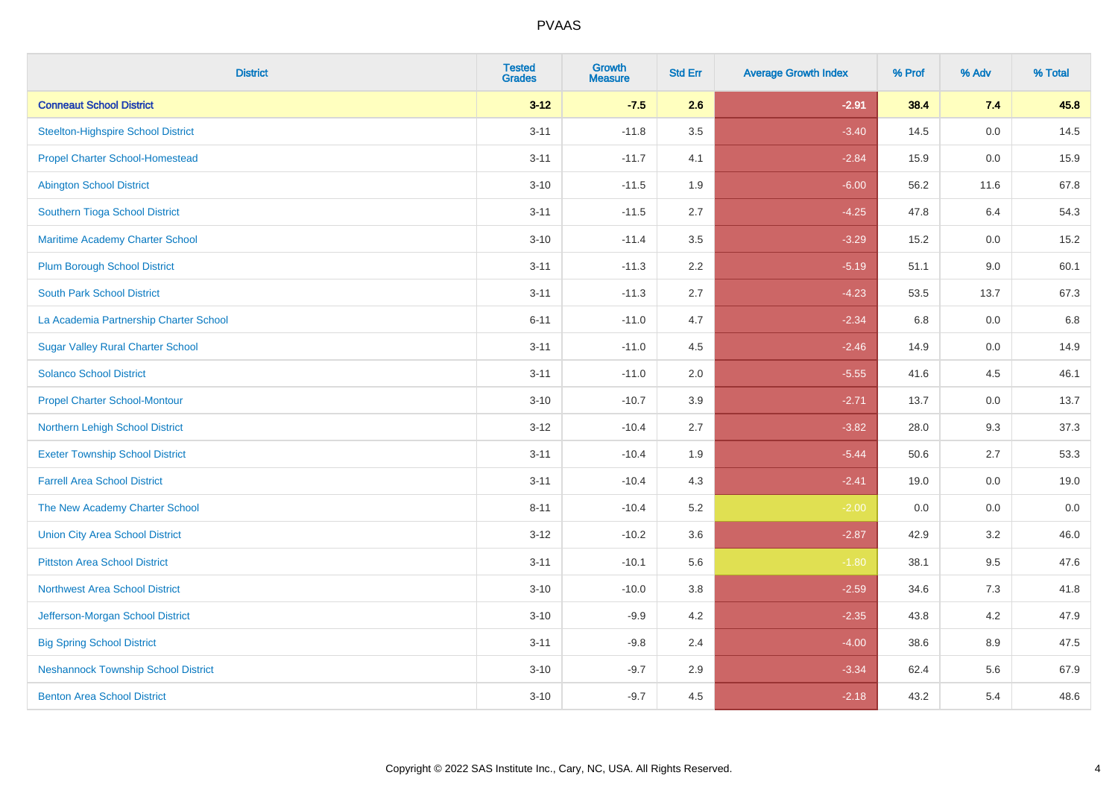| <b>District</b>                            | <b>Tested</b><br><b>Grades</b> | <b>Growth</b><br><b>Measure</b> | <b>Std Err</b> | <b>Average Growth Index</b> | % Prof | % Adv | % Total |
|--------------------------------------------|--------------------------------|---------------------------------|----------------|-----------------------------|--------|-------|---------|
| <b>Conneaut School District</b>            | $3 - 12$                       | $-7.5$                          | 2.6            | $-2.91$                     | 38.4   | 7.4   | 45.8    |
| Steelton-Highspire School District         | $3 - 11$                       | $-11.8$                         | 3.5            | $-3.40$                     | 14.5   | 0.0   | 14.5    |
| <b>Propel Charter School-Homestead</b>     | $3 - 11$                       | $-11.7$                         | 4.1            | $-2.84$                     | 15.9   | 0.0   | 15.9    |
| <b>Abington School District</b>            | $3 - 10$                       | $-11.5$                         | 1.9            | $-6.00$                     | 56.2   | 11.6  | 67.8    |
| Southern Tioga School District             | $3 - 11$                       | $-11.5$                         | 2.7            | $-4.25$                     | 47.8   | 6.4   | 54.3    |
| Maritime Academy Charter School            | $3 - 10$                       | $-11.4$                         | 3.5            | $-3.29$                     | 15.2   | 0.0   | 15.2    |
| <b>Plum Borough School District</b>        | $3 - 11$                       | $-11.3$                         | 2.2            | $-5.19$                     | 51.1   | 9.0   | 60.1    |
| <b>South Park School District</b>          | $3 - 11$                       | $-11.3$                         | 2.7            | $-4.23$                     | 53.5   | 13.7  | 67.3    |
| La Academia Partnership Charter School     | $6 - 11$                       | $-11.0$                         | 4.7            | $-2.34$                     | 6.8    | 0.0   | 6.8     |
| <b>Sugar Valley Rural Charter School</b>   | $3 - 11$                       | $-11.0$                         | 4.5            | $-2.46$                     | 14.9   | 0.0   | 14.9    |
| <b>Solanco School District</b>             | $3 - 11$                       | $-11.0$                         | 2.0            | $-5.55$                     | 41.6   | 4.5   | 46.1    |
| <b>Propel Charter School-Montour</b>       | $3 - 10$                       | $-10.7$                         | 3.9            | $-2.71$                     | 13.7   | 0.0   | 13.7    |
| Northern Lehigh School District            | $3 - 12$                       | $-10.4$                         | 2.7            | $-3.82$                     | 28.0   | 9.3   | 37.3    |
| <b>Exeter Township School District</b>     | $3 - 11$                       | $-10.4$                         | 1.9            | $-5.44$                     | 50.6   | 2.7   | 53.3    |
| <b>Farrell Area School District</b>        | $3 - 11$                       | $-10.4$                         | 4.3            | $-2.41$                     | 19.0   | 0.0   | 19.0    |
| The New Academy Charter School             | $8 - 11$                       | $-10.4$                         | 5.2            | $-2.00$                     | 0.0    | 0.0   | 0.0     |
| <b>Union City Area School District</b>     | $3-12$                         | $-10.2$                         | 3.6            | $-2.87$                     | 42.9   | 3.2   | 46.0    |
| <b>Pittston Area School District</b>       | $3 - 11$                       | $-10.1$                         | 5.6            | $-1.80$                     | 38.1   | 9.5   | 47.6    |
| <b>Northwest Area School District</b>      | $3 - 10$                       | $-10.0$                         | 3.8            | $-2.59$                     | 34.6   | 7.3   | 41.8    |
| Jefferson-Morgan School District           | $3 - 10$                       | $-9.9$                          | 4.2            | $-2.35$                     | 43.8   | 4.2   | 47.9    |
| <b>Big Spring School District</b>          | $3 - 11$                       | $-9.8$                          | 2.4            | $-4.00$                     | 38.6   | 8.9   | 47.5    |
| <b>Neshannock Township School District</b> | $3 - 10$                       | $-9.7$                          | 2.9            | $-3.34$                     | 62.4   | 5.6   | 67.9    |
| <b>Benton Area School District</b>         | $3 - 10$                       | $-9.7$                          | 4.5            | $-2.18$                     | 43.2   | 5.4   | 48.6    |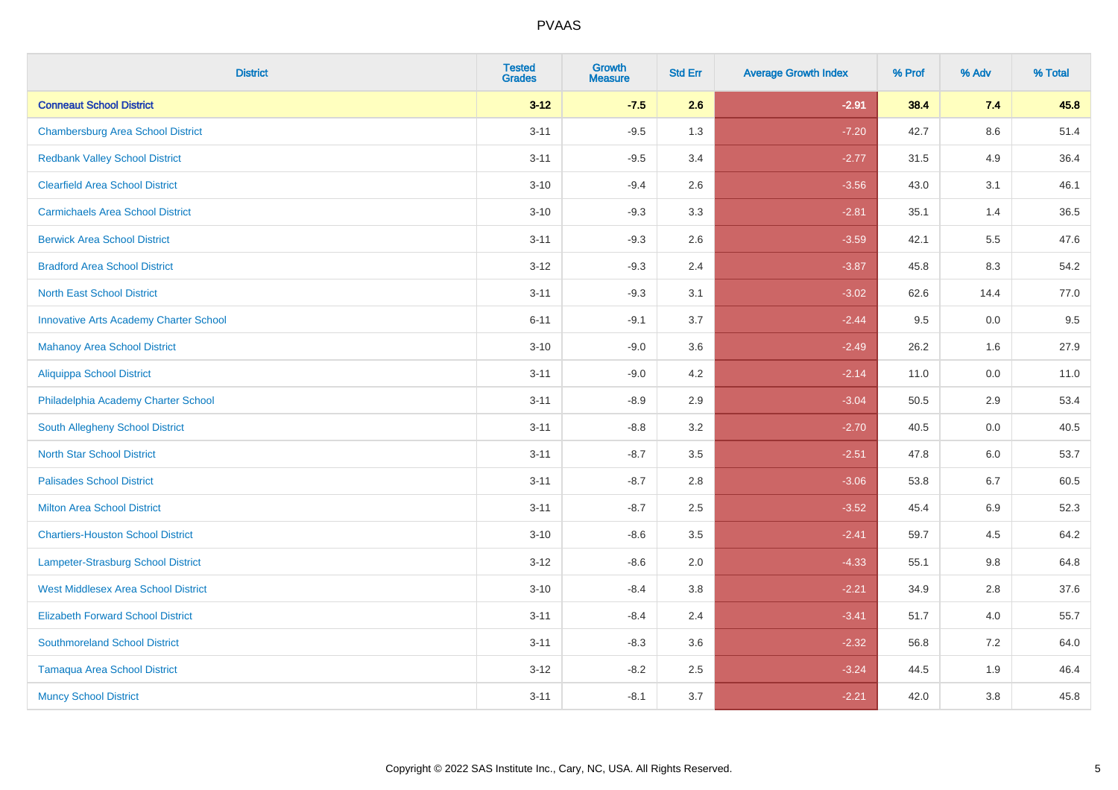| <b>District</b>                               | <b>Tested</b><br><b>Grades</b> | <b>Growth</b><br><b>Measure</b> | <b>Std Err</b> | <b>Average Growth Index</b> | % Prof | % Adv   | % Total |
|-----------------------------------------------|--------------------------------|---------------------------------|----------------|-----------------------------|--------|---------|---------|
| <b>Conneaut School District</b>               | $3 - 12$                       | $-7.5$                          | 2.6            | $-2.91$                     | 38.4   | 7.4     | 45.8    |
| <b>Chambersburg Area School District</b>      | $3 - 11$                       | $-9.5$                          | 1.3            | $-7.20$                     | 42.7   | 8.6     | 51.4    |
| <b>Redbank Valley School District</b>         | $3 - 11$                       | $-9.5$                          | 3.4            | $-2.77$                     | 31.5   | 4.9     | 36.4    |
| <b>Clearfield Area School District</b>        | $3 - 10$                       | $-9.4$                          | 2.6            | $-3.56$                     | 43.0   | 3.1     | 46.1    |
| <b>Carmichaels Area School District</b>       | $3 - 10$                       | $-9.3$                          | 3.3            | $-2.81$                     | 35.1   | 1.4     | 36.5    |
| <b>Berwick Area School District</b>           | $3 - 11$                       | $-9.3$                          | 2.6            | $-3.59$                     | 42.1   | 5.5     | 47.6    |
| <b>Bradford Area School District</b>          | $3 - 12$                       | $-9.3$                          | 2.4            | $-3.87$                     | 45.8   | 8.3     | 54.2    |
| <b>North East School District</b>             | $3 - 11$                       | $-9.3$                          | 3.1            | $-3.02$                     | 62.6   | 14.4    | 77.0    |
| <b>Innovative Arts Academy Charter School</b> | $6 - 11$                       | $-9.1$                          | 3.7            | $-2.44$                     | 9.5    | 0.0     | 9.5     |
| <b>Mahanoy Area School District</b>           | $3 - 10$                       | $-9.0$                          | 3.6            | $-2.49$                     | 26.2   | 1.6     | 27.9    |
| <b>Aliquippa School District</b>              | $3 - 11$                       | $-9.0$                          | 4.2            | $-2.14$                     | 11.0   | 0.0     | 11.0    |
| Philadelphia Academy Charter School           | $3 - 11$                       | $-8.9$                          | 2.9            | $-3.04$                     | 50.5   | 2.9     | 53.4    |
| South Allegheny School District               | $3 - 11$                       | $-8.8$                          | 3.2            | $-2.70$                     | 40.5   | $0.0\,$ | 40.5    |
| <b>North Star School District</b>             | $3 - 11$                       | $-8.7$                          | 3.5            | $-2.51$                     | 47.8   | 6.0     | 53.7    |
| <b>Palisades School District</b>              | $3 - 11$                       | $-8.7$                          | 2.8            | $-3.06$                     | 53.8   | 6.7     | 60.5    |
| <b>Milton Area School District</b>            | $3 - 11$                       | $-8.7$                          | 2.5            | $-3.52$                     | 45.4   | $6.9\,$ | 52.3    |
| <b>Chartiers-Houston School District</b>      | $3 - 10$                       | $-8.6$                          | 3.5            | $-2.41$                     | 59.7   | 4.5     | 64.2    |
| <b>Lampeter-Strasburg School District</b>     | $3 - 12$                       | $-8.6$                          | 2.0            | $-4.33$                     | 55.1   | 9.8     | 64.8    |
| <b>West Middlesex Area School District</b>    | $3 - 10$                       | $-8.4$                          | 3.8            | $-2.21$                     | 34.9   | 2.8     | 37.6    |
| <b>Elizabeth Forward School District</b>      | $3 - 11$                       | $-8.4$                          | 2.4            | $-3.41$                     | 51.7   | 4.0     | 55.7    |
| <b>Southmoreland School District</b>          | $3 - 11$                       | $-8.3$                          | 3.6            | $-2.32$                     | 56.8   | 7.2     | 64.0    |
| <b>Tamaqua Area School District</b>           | $3 - 12$                       | $-8.2$                          | 2.5            | $-3.24$                     | 44.5   | 1.9     | 46.4    |
| <b>Muncy School District</b>                  | $3 - 11$                       | $-8.1$                          | 3.7            | $-2.21$                     | 42.0   | 3.8     | 45.8    |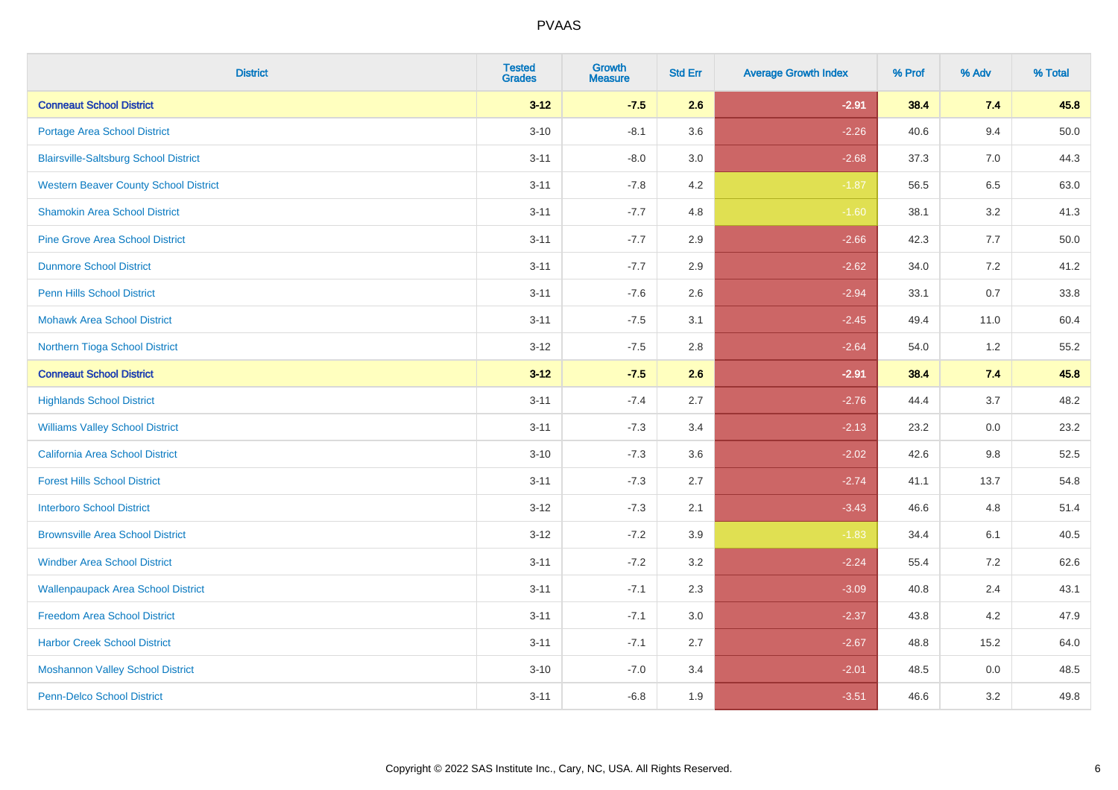| <b>District</b>                              | <b>Tested</b><br><b>Grades</b> | Growth<br><b>Measure</b> | <b>Std Err</b> | <b>Average Growth Index</b> | % Prof | % Adv   | % Total |
|----------------------------------------------|--------------------------------|--------------------------|----------------|-----------------------------|--------|---------|---------|
| <b>Conneaut School District</b>              | $3 - 12$                       | $-7.5$                   | 2.6            | $-2.91$                     | 38.4   | 7.4     | 45.8    |
| <b>Portage Area School District</b>          | $3 - 10$                       | $-8.1$                   | 3.6            | $-2.26$                     | 40.6   | 9.4     | 50.0    |
| <b>Blairsville-Saltsburg School District</b> | $3 - 11$                       | $-8.0$                   | 3.0            | $-2.68$                     | 37.3   | 7.0     | 44.3    |
| <b>Western Beaver County School District</b> | $3 - 11$                       | $-7.8$                   | 4.2            | $-1.87$                     | 56.5   | $6.5\,$ | 63.0    |
| <b>Shamokin Area School District</b>         | $3 - 11$                       | $-7.7$                   | 4.8            | $-1.60$                     | 38.1   | 3.2     | 41.3    |
| <b>Pine Grove Area School District</b>       | $3 - 11$                       | $-7.7$                   | 2.9            | $-2.66$                     | 42.3   | 7.7     | 50.0    |
| <b>Dunmore School District</b>               | $3 - 11$                       | $-7.7$                   | 2.9            | $-2.62$                     | 34.0   | 7.2     | 41.2    |
| <b>Penn Hills School District</b>            | $3 - 11$                       | $-7.6$                   | 2.6            | $-2.94$                     | 33.1   | 0.7     | 33.8    |
| <b>Mohawk Area School District</b>           | $3 - 11$                       | $-7.5$                   | 3.1            | $-2.45$                     | 49.4   | 11.0    | 60.4    |
| Northern Tioga School District               | $3 - 12$                       | $-7.5$                   | 2.8            | $-2.64$                     | 54.0   | 1.2     | 55.2    |
| <b>Conneaut School District</b>              | $3 - 12$                       | $-7.5$                   | 2.6            | $-2.91$                     | 38.4   | 7.4     | 45.8    |
| <b>Highlands School District</b>             | $3 - 11$                       | $-7.4$                   | 2.7            | $-2.76$                     | 44.4   | 3.7     | 48.2    |
| <b>Williams Valley School District</b>       | $3 - 11$                       | $-7.3$                   | 3.4            | $-2.13$                     | 23.2   | 0.0     | 23.2    |
| <b>California Area School District</b>       | $3 - 10$                       | $-7.3$                   | 3.6            | $-2.02$                     | 42.6   | 9.8     | 52.5    |
| <b>Forest Hills School District</b>          | $3 - 11$                       | $-7.3$                   | 2.7            | $-2.74$                     | 41.1   | 13.7    | 54.8    |
| <b>Interboro School District</b>             | $3 - 12$                       | $-7.3$                   | 2.1            | $-3.43$                     | 46.6   | 4.8     | 51.4    |
| <b>Brownsville Area School District</b>      | $3 - 12$                       | $-7.2$                   | 3.9            | $-1.83$                     | 34.4   | 6.1     | 40.5    |
| <b>Windber Area School District</b>          | $3 - 11$                       | $-7.2$                   | 3.2            | $-2.24$                     | 55.4   | 7.2     | 62.6    |
| <b>Wallenpaupack Area School District</b>    | $3 - 11$                       | $-7.1$                   | 2.3            | $-3.09$                     | 40.8   | 2.4     | 43.1    |
| <b>Freedom Area School District</b>          | $3 - 11$                       | $-7.1$                   | 3.0            | $-2.37$                     | 43.8   | 4.2     | 47.9    |
| <b>Harbor Creek School District</b>          | $3 - 11$                       | $-7.1$                   | 2.7            | $-2.67$                     | 48.8   | 15.2    | 64.0    |
| <b>Moshannon Valley School District</b>      | $3 - 10$                       | $-7.0$                   | 3.4            | $-2.01$                     | 48.5   | 0.0     | 48.5    |
| <b>Penn-Delco School District</b>            | $3 - 11$                       | $-6.8$                   | 1.9            | $-3.51$                     | 46.6   | 3.2     | 49.8    |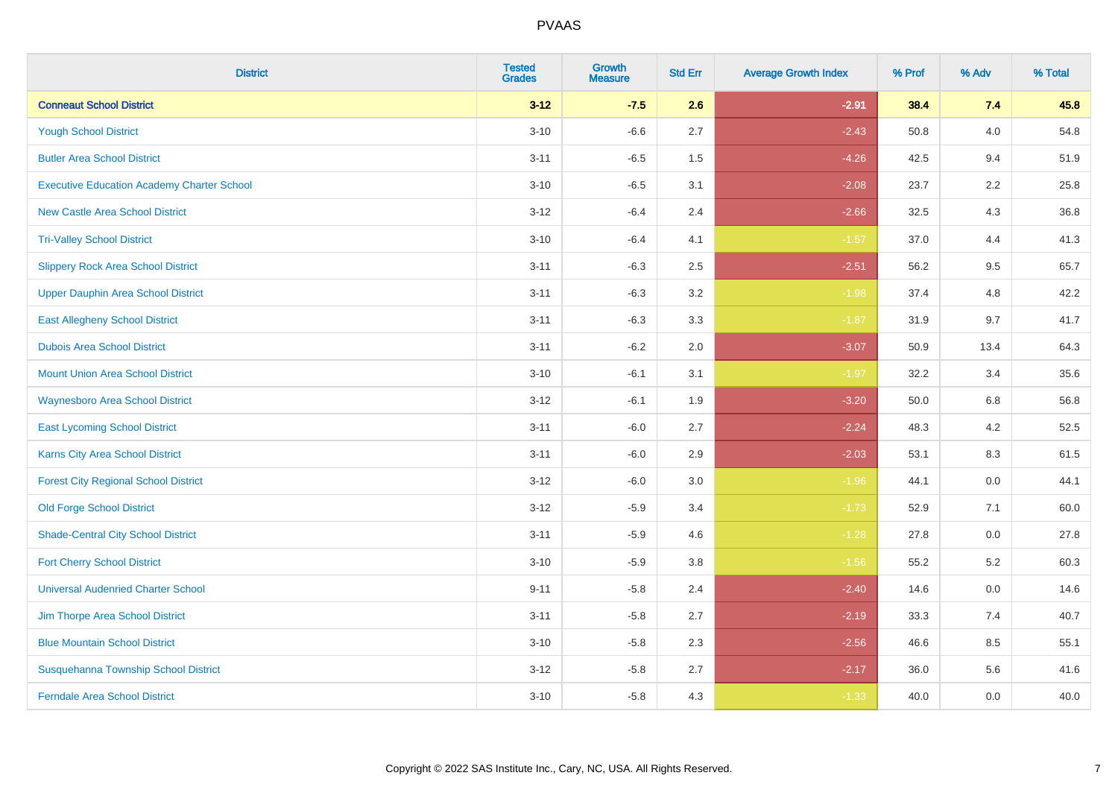| <b>District</b>                                   | <b>Tested</b><br><b>Grades</b> | Growth<br><b>Measure</b> | <b>Std Err</b> | <b>Average Growth Index</b> | % Prof | % Adv   | % Total |
|---------------------------------------------------|--------------------------------|--------------------------|----------------|-----------------------------|--------|---------|---------|
| <b>Conneaut School District</b>                   | $3 - 12$                       | $-7.5$                   | 2.6            | $-2.91$                     | 38.4   | 7.4     | 45.8    |
| <b>Yough School District</b>                      | $3 - 10$                       | $-6.6$                   | 2.7            | $-2.43$                     | 50.8   | 4.0     | 54.8    |
| <b>Butler Area School District</b>                | $3 - 11$                       | $-6.5$                   | 1.5            | $-4.26$                     | 42.5   | 9.4     | 51.9    |
| <b>Executive Education Academy Charter School</b> | $3 - 10$                       | $-6.5$                   | 3.1            | $-2.08$                     | 23.7   | $2.2\,$ | 25.8    |
| <b>New Castle Area School District</b>            | $3 - 12$                       | $-6.4$                   | 2.4            | $-2.66$                     | 32.5   | 4.3     | 36.8    |
| <b>Tri-Valley School District</b>                 | $3 - 10$                       | $-6.4$                   | 4.1            | $-1.57$                     | 37.0   | 4.4     | 41.3    |
| <b>Slippery Rock Area School District</b>         | $3 - 11$                       | $-6.3$                   | 2.5            | $-2.51$                     | 56.2   | 9.5     | 65.7    |
| <b>Upper Dauphin Area School District</b>         | $3 - 11$                       | $-6.3$                   | 3.2            | $-1.98$                     | 37.4   | 4.8     | 42.2    |
| <b>East Allegheny School District</b>             | $3 - 11$                       | $-6.3$                   | 3.3            | $-1.87$                     | 31.9   | 9.7     | 41.7    |
| <b>Dubois Area School District</b>                | $3 - 11$                       | $-6.2$                   | 2.0            | $-3.07$                     | 50.9   | 13.4    | 64.3    |
| <b>Mount Union Area School District</b>           | $3 - 10$                       | $-6.1$                   | 3.1            | $-1.97$                     | 32.2   | 3.4     | 35.6    |
| <b>Waynesboro Area School District</b>            | $3 - 12$                       | $-6.1$                   | 1.9            | $-3.20$                     | 50.0   | 6.8     | 56.8    |
| <b>East Lycoming School District</b>              | $3 - 11$                       | $-6.0$                   | 2.7            | $-2.24$                     | 48.3   | 4.2     | 52.5    |
| <b>Karns City Area School District</b>            | $3 - 11$                       | $-6.0$                   | 2.9            | $-2.03$                     | 53.1   | 8.3     | 61.5    |
| <b>Forest City Regional School District</b>       | $3 - 12$                       | $-6.0$                   | 3.0            | $-1.96$                     | 44.1   | 0.0     | 44.1    |
| <b>Old Forge School District</b>                  | $3 - 12$                       | $-5.9$                   | 3.4            | $-1.73$                     | 52.9   | 7.1     | 60.0    |
| <b>Shade-Central City School District</b>         | $3 - 11$                       | $-5.9$                   | 4.6            | $-1.28$                     | 27.8   | 0.0     | 27.8    |
| <b>Fort Cherry School District</b>                | $3 - 10$                       | $-5.9$                   | 3.8            | $-1.56$                     | 55.2   | 5.2     | 60.3    |
| <b>Universal Audenried Charter School</b>         | $9 - 11$                       | $-5.8$                   | 2.4            | $-2.40$                     | 14.6   | 0.0     | 14.6    |
| Jim Thorpe Area School District                   | $3 - 11$                       | $-5.8$                   | 2.7            | $-2.19$                     | 33.3   | 7.4     | 40.7    |
| <b>Blue Mountain School District</b>              | $3 - 10$                       | $-5.8$                   | 2.3            | $-2.56$                     | 46.6   | 8.5     | 55.1    |
| Susquehanna Township School District              | $3 - 12$                       | $-5.8$                   | 2.7            | $-2.17$                     | 36.0   | 5.6     | 41.6    |
| <b>Ferndale Area School District</b>              | $3 - 10$                       | $-5.8$                   | 4.3            | $-1.33$                     | 40.0   | 0.0     | 40.0    |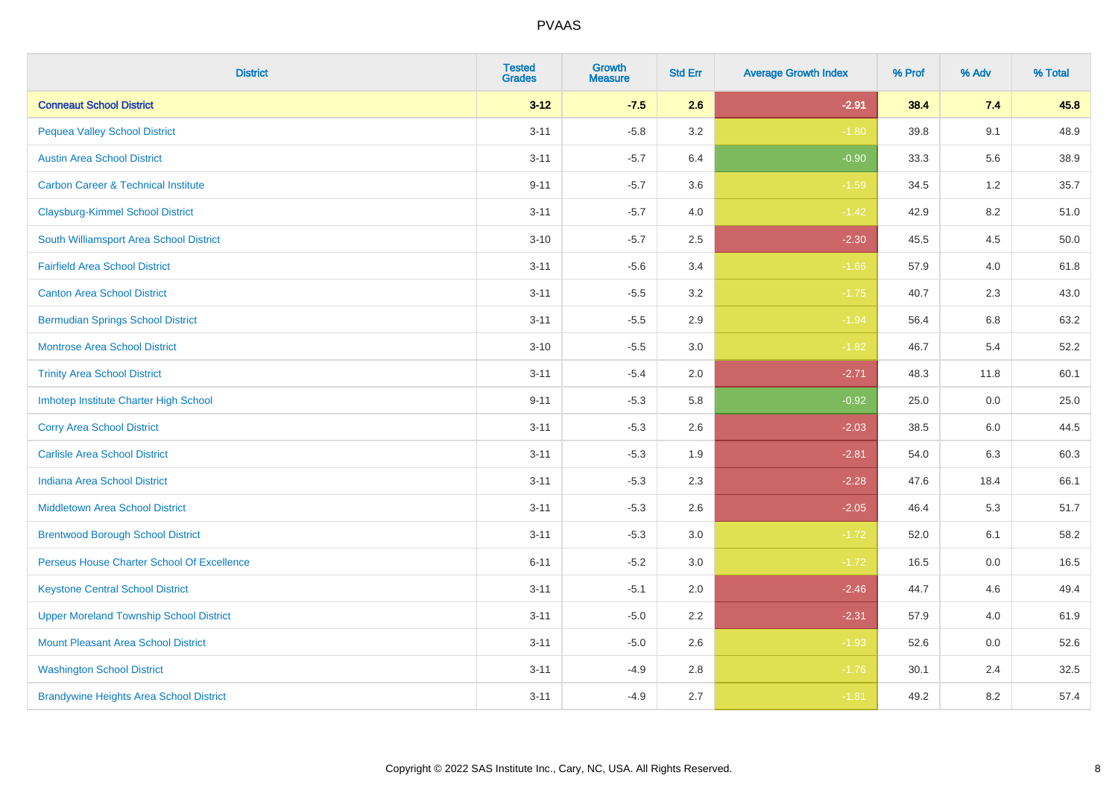| <b>District</b>                                | <b>Tested</b><br><b>Grades</b> | Growth<br><b>Measure</b> | <b>Std Err</b> | <b>Average Growth Index</b> | % Prof | % Adv   | % Total |
|------------------------------------------------|--------------------------------|--------------------------|----------------|-----------------------------|--------|---------|---------|
| <b>Conneaut School District</b>                | $3 - 12$                       | $-7.5$                   | 2.6            | $-2.91$                     | 38.4   | 7.4     | 45.8    |
| <b>Pequea Valley School District</b>           | $3 - 11$                       | $-5.8$                   | 3.2            | $-1.80$                     | 39.8   | 9.1     | 48.9    |
| <b>Austin Area School District</b>             | $3 - 11$                       | $-5.7$                   | 6.4            | $-0.90$                     | 33.3   | 5.6     | 38.9    |
| <b>Carbon Career &amp; Technical Institute</b> | $9 - 11$                       | $-5.7$                   | 3.6            | $-1.59$                     | 34.5   | $1.2\,$ | 35.7    |
| <b>Claysburg-Kimmel School District</b>        | $3 - 11$                       | $-5.7$                   | 4.0            | $-1.42$                     | 42.9   | 8.2     | 51.0    |
| South Williamsport Area School District        | $3 - 10$                       | $-5.7$                   | 2.5            | $-2.30$                     | 45.5   | 4.5     | 50.0    |
| <b>Fairfield Area School District</b>          | $3 - 11$                       | $-5.6$                   | 3.4            | $-1.66$                     | 57.9   | 4.0     | 61.8    |
| <b>Canton Area School District</b>             | $3 - 11$                       | $-5.5$                   | 3.2            | $-1.75$                     | 40.7   | 2.3     | 43.0    |
| <b>Bermudian Springs School District</b>       | $3 - 11$                       | $-5.5$                   | 2.9            | $-1.94$                     | 56.4   | 6.8     | 63.2    |
| <b>Montrose Area School District</b>           | $3 - 10$                       | $-5.5$                   | 3.0            | $-1.82$                     | 46.7   | 5.4     | 52.2    |
| <b>Trinity Area School District</b>            | $3 - 11$                       | $-5.4$                   | 2.0            | $-2.71$                     | 48.3   | 11.8    | 60.1    |
| Imhotep Institute Charter High School          | $9 - 11$                       | $-5.3$                   | 5.8            | $-0.92$                     | 25.0   | 0.0     | 25.0    |
| <b>Corry Area School District</b>              | $3 - 11$                       | $-5.3$                   | 2.6            | $-2.03$                     | 38.5   | 6.0     | 44.5    |
| <b>Carlisle Area School District</b>           | $3 - 11$                       | $-5.3$                   | 1.9            | $-2.81$                     | 54.0   | 6.3     | 60.3    |
| <b>Indiana Area School District</b>            | $3 - 11$                       | $-5.3$                   | 2.3            | $-2.28$                     | 47.6   | 18.4    | 66.1    |
| <b>Middletown Area School District</b>         | $3 - 11$                       | $-5.3$                   | 2.6            | $-2.05$                     | 46.4   | 5.3     | 51.7    |
| <b>Brentwood Borough School District</b>       | $3 - 11$                       | $-5.3$                   | 3.0            | $-1.72$                     | 52.0   | 6.1     | 58.2    |
| Perseus House Charter School Of Excellence     | $6 - 11$                       | $-5.2$                   | 3.0            | $-1.72$                     | 16.5   | 0.0     | 16.5    |
| <b>Keystone Central School District</b>        | $3 - 11$                       | $-5.1$                   | 2.0            | $-2.46$                     | 44.7   | 4.6     | 49.4    |
| <b>Upper Moreland Township School District</b> | $3 - 11$                       | $-5.0$                   | 2.2            | $-2.31$                     | 57.9   | 4.0     | 61.9    |
| <b>Mount Pleasant Area School District</b>     | $3 - 11$                       | $-5.0$                   | 2.6            | $-1.93$                     | 52.6   | 0.0     | 52.6    |
| <b>Washington School District</b>              | $3 - 11$                       | $-4.9$                   | 2.8            | $-1.76$                     | 30.1   | 2.4     | 32.5    |
| <b>Brandywine Heights Area School District</b> | $3 - 11$                       | $-4.9$                   | 2.7            | $-1.81$                     | 49.2   | 8.2     | 57.4    |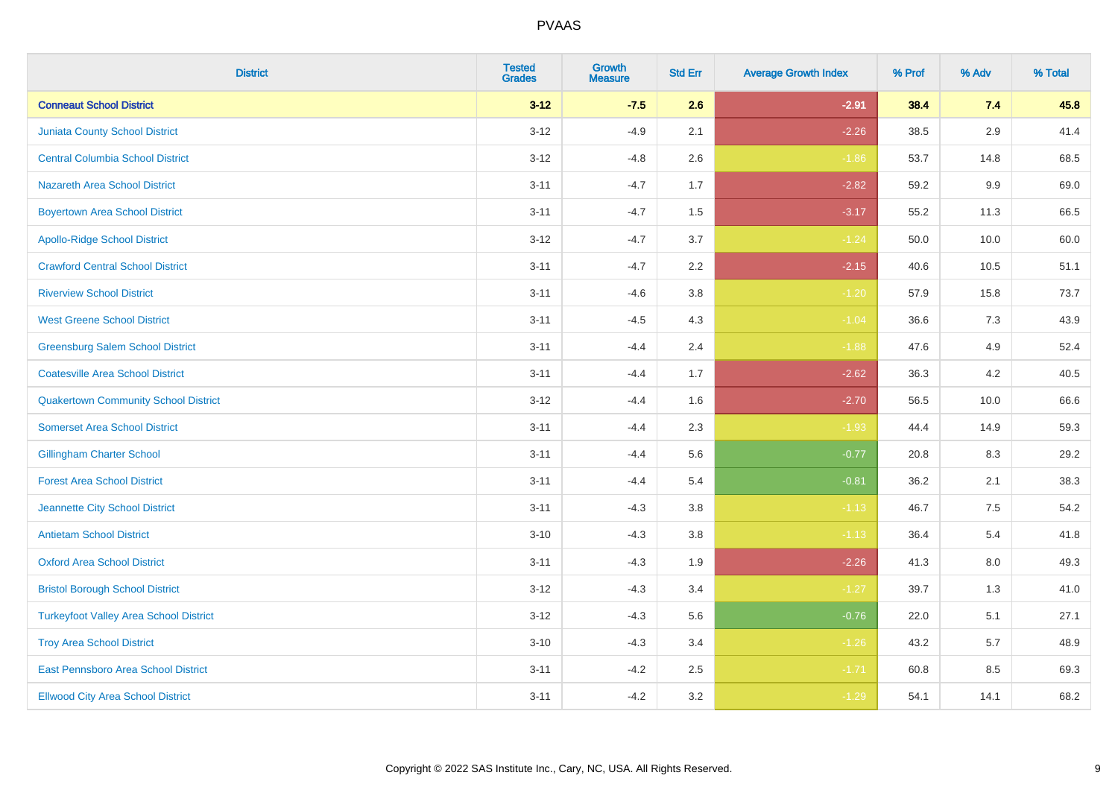| <b>District</b>                               | <b>Tested</b><br><b>Grades</b> | Growth<br><b>Measure</b> | <b>Std Err</b> | <b>Average Growth Index</b> | % Prof | % Adv   | % Total |
|-----------------------------------------------|--------------------------------|--------------------------|----------------|-----------------------------|--------|---------|---------|
| <b>Conneaut School District</b>               | $3 - 12$                       | $-7.5$                   | 2.6            | $-2.91$                     | 38.4   | 7.4     | 45.8    |
| <b>Juniata County School District</b>         | $3 - 12$                       | $-4.9$                   | 2.1            | $-2.26$                     | 38.5   | 2.9     | 41.4    |
| <b>Central Columbia School District</b>       | $3 - 12$                       | $-4.8$                   | 2.6            | $-1.86$                     | 53.7   | 14.8    | 68.5    |
| Nazareth Area School District                 | $3 - 11$                       | $-4.7$                   | 1.7            | $-2.82$                     | 59.2   | $9.9\,$ | 69.0    |
| <b>Boyertown Area School District</b>         | $3 - 11$                       | $-4.7$                   | 1.5            | $-3.17$                     | 55.2   | 11.3    | 66.5    |
| <b>Apollo-Ridge School District</b>           | $3 - 12$                       | $-4.7$                   | 3.7            | $-1.24$                     | 50.0   | 10.0    | 60.0    |
| <b>Crawford Central School District</b>       | $3 - 11$                       | $-4.7$                   | 2.2            | $-2.15$                     | 40.6   | 10.5    | 51.1    |
| <b>Riverview School District</b>              | $3 - 11$                       | $-4.6$                   | 3.8            | $-1.20$                     | 57.9   | 15.8    | 73.7    |
| <b>West Greene School District</b>            | $3 - 11$                       | $-4.5$                   | 4.3            | $-1.04$                     | 36.6   | 7.3     | 43.9    |
| <b>Greensburg Salem School District</b>       | $3 - 11$                       | $-4.4$                   | 2.4            | $-1.88$                     | 47.6   | 4.9     | 52.4    |
| <b>Coatesville Area School District</b>       | $3 - 11$                       | $-4.4$                   | 1.7            | $-2.62$                     | 36.3   | 4.2     | 40.5    |
| <b>Quakertown Community School District</b>   | $3 - 12$                       | $-4.4$                   | 1.6            | $-2.70$                     | 56.5   | 10.0    | 66.6    |
| <b>Somerset Area School District</b>          | $3 - 11$                       | $-4.4$                   | 2.3            | $-1.93$                     | 44.4   | 14.9    | 59.3    |
| <b>Gillingham Charter School</b>              | $3 - 11$                       | $-4.4$                   | 5.6            | $-0.77$                     | 20.8   | 8.3     | 29.2    |
| <b>Forest Area School District</b>            | $3 - 11$                       | $-4.4$                   | 5.4            | $-0.81$                     | 36.2   | 2.1     | 38.3    |
| Jeannette City School District                | $3 - 11$                       | $-4.3$                   | 3.8            | $-1.13$                     | 46.7   | 7.5     | 54.2    |
| <b>Antietam School District</b>               | $3 - 10$                       | $-4.3$                   | 3.8            | $-1.13$                     | 36.4   | 5.4     | 41.8    |
| <b>Oxford Area School District</b>            | $3 - 11$                       | $-4.3$                   | 1.9            | $-2.26$                     | 41.3   | 8.0     | 49.3    |
| <b>Bristol Borough School District</b>        | $3 - 12$                       | $-4.3$                   | 3.4            | $-1.27$                     | 39.7   | 1.3     | 41.0    |
| <b>Turkeyfoot Valley Area School District</b> | $3 - 12$                       | $-4.3$                   | 5.6            | $-0.76$                     | 22.0   | 5.1     | 27.1    |
| <b>Troy Area School District</b>              | $3 - 10$                       | $-4.3$                   | 3.4            | $-1.26$                     | 43.2   | 5.7     | 48.9    |
| East Pennsboro Area School District           | $3 - 11$                       | $-4.2$                   | 2.5            | $-1.71$                     | 60.8   | 8.5     | 69.3    |
| <b>Ellwood City Area School District</b>      | $3 - 11$                       | $-4.2$                   | 3.2            | $-1.29$                     | 54.1   | 14.1    | 68.2    |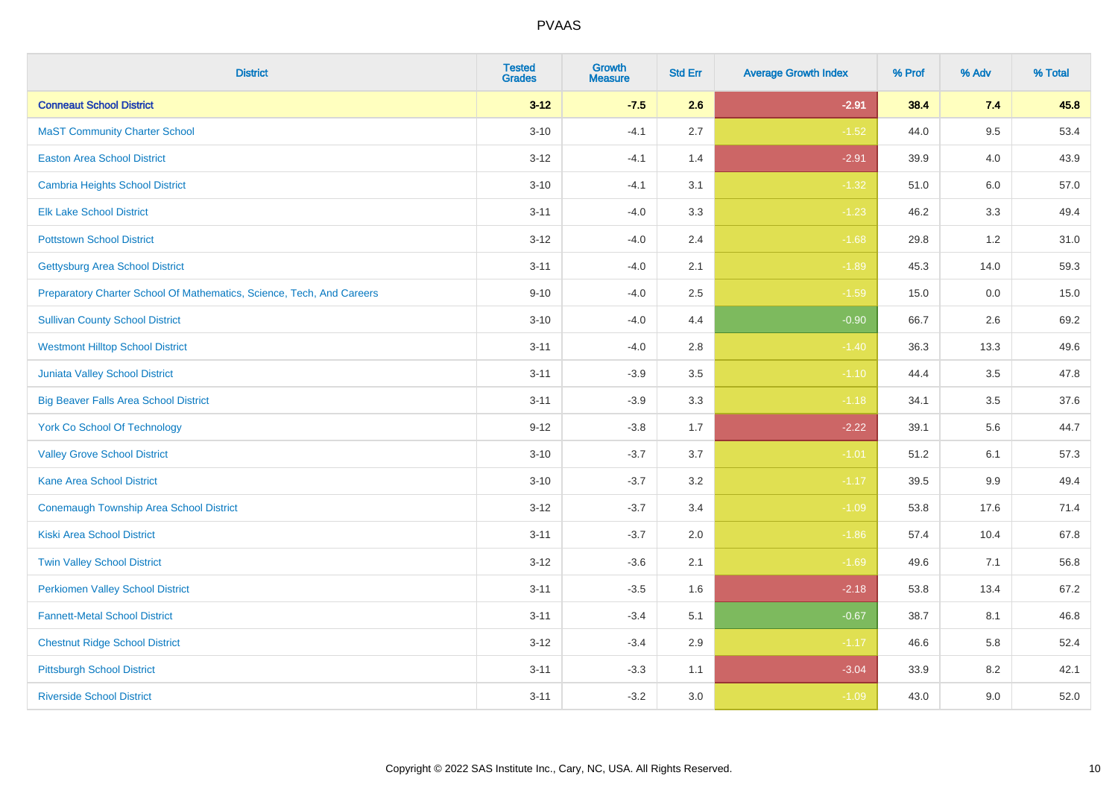| <b>District</b>                                                       | <b>Tested</b><br><b>Grades</b> | <b>Growth</b><br><b>Measure</b> | <b>Std Err</b> | <b>Average Growth Index</b> | % Prof | % Adv   | % Total |
|-----------------------------------------------------------------------|--------------------------------|---------------------------------|----------------|-----------------------------|--------|---------|---------|
| <b>Conneaut School District</b>                                       | $3 - 12$                       | $-7.5$                          | 2.6            | $-2.91$                     | 38.4   | 7.4     | 45.8    |
| <b>MaST Community Charter School</b>                                  | $3 - 10$                       | $-4.1$                          | 2.7            | $-1.52$                     | 44.0   | 9.5     | 53.4    |
| <b>Easton Area School District</b>                                    | $3 - 12$                       | $-4.1$                          | 1.4            | $-2.91$                     | 39.9   | 4.0     | 43.9    |
| <b>Cambria Heights School District</b>                                | $3 - 10$                       | $-4.1$                          | 3.1            | $-1.32$                     | 51.0   | $6.0\,$ | 57.0    |
| <b>Elk Lake School District</b>                                       | $3 - 11$                       | $-4.0$                          | 3.3            | $-1.23$                     | 46.2   | 3.3     | 49.4    |
| <b>Pottstown School District</b>                                      | $3 - 12$                       | $-4.0$                          | 2.4            | $-1.68$                     | 29.8   | 1.2     | 31.0    |
| <b>Gettysburg Area School District</b>                                | $3 - 11$                       | $-4.0$                          | 2.1            | $-1.89$                     | 45.3   | 14.0    | 59.3    |
| Preparatory Charter School Of Mathematics, Science, Tech, And Careers | $9 - 10$                       | $-4.0$                          | 2.5            | $-1.59$                     | 15.0   | 0.0     | 15.0    |
| <b>Sullivan County School District</b>                                | $3 - 10$                       | $-4.0$                          | 4.4            | $-0.90$                     | 66.7   | 2.6     | 69.2    |
| <b>Westmont Hilltop School District</b>                               | $3 - 11$                       | $-4.0$                          | 2.8            | $-1.40$                     | 36.3   | 13.3    | 49.6    |
| Juniata Valley School District                                        | $3 - 11$                       | $-3.9$                          | 3.5            | $-1.10$                     | 44.4   | 3.5     | 47.8    |
| <b>Big Beaver Falls Area School District</b>                          | $3 - 11$                       | $-3.9$                          | 3.3            | $-1.18$                     | 34.1   | 3.5     | 37.6    |
| <b>York Co School Of Technology</b>                                   | $9 - 12$                       | $-3.8$                          | 1.7            | $-2.22$                     | 39.1   | 5.6     | 44.7    |
| <b>Valley Grove School District</b>                                   | $3 - 10$                       | $-3.7$                          | 3.7            | $-1.01$                     | 51.2   | 6.1     | 57.3    |
| <b>Kane Area School District</b>                                      | $3 - 10$                       | $-3.7$                          | 3.2            | $-1.17$                     | 39.5   | 9.9     | 49.4    |
| <b>Conemaugh Township Area School District</b>                        | $3 - 12$                       | $-3.7$                          | 3.4            | $-1.09$                     | 53.8   | 17.6    | 71.4    |
| <b>Kiski Area School District</b>                                     | $3 - 11$                       | $-3.7$                          | 2.0            | $-1.86$                     | 57.4   | 10.4    | 67.8    |
| <b>Twin Valley School District</b>                                    | $3 - 12$                       | $-3.6$                          | 2.1            | $-1.69$                     | 49.6   | 7.1     | 56.8    |
| <b>Perkiomen Valley School District</b>                               | $3 - 11$                       | $-3.5$                          | 1.6            | $-2.18$                     | 53.8   | 13.4    | 67.2    |
| <b>Fannett-Metal School District</b>                                  | $3 - 11$                       | $-3.4$                          | 5.1            | $-0.67$                     | 38.7   | 8.1     | 46.8    |
| <b>Chestnut Ridge School District</b>                                 | $3 - 12$                       | $-3.4$                          | 2.9            | $-1.17$                     | 46.6   | 5.8     | 52.4    |
| <b>Pittsburgh School District</b>                                     | $3 - 11$                       | $-3.3$                          | 1.1            | $-3.04$                     | 33.9   | 8.2     | 42.1    |
| <b>Riverside School District</b>                                      | $3 - 11$                       | $-3.2$                          | 3.0            | $-1.09$                     | 43.0   | 9.0     | 52.0    |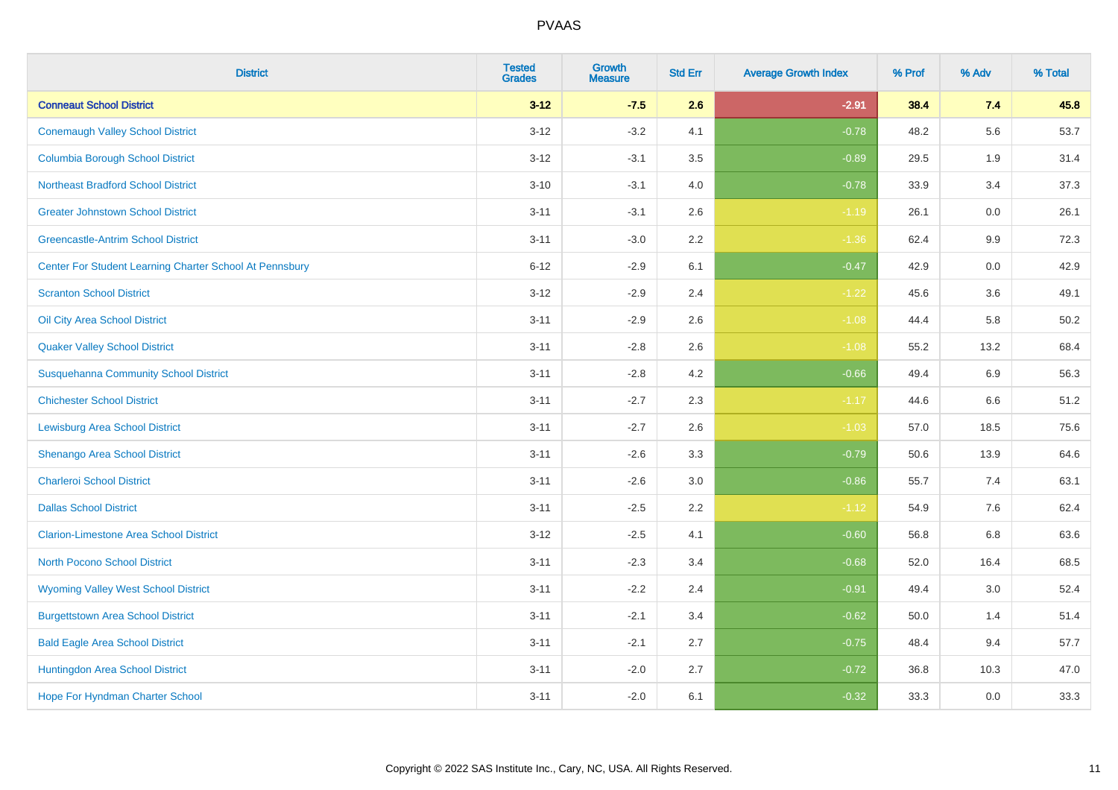| <b>District</b>                                         | <b>Tested</b><br><b>Grades</b> | Growth<br><b>Measure</b> | <b>Std Err</b> | <b>Average Growth Index</b> | % Prof | % Adv   | % Total |
|---------------------------------------------------------|--------------------------------|--------------------------|----------------|-----------------------------|--------|---------|---------|
| <b>Conneaut School District</b>                         | $3 - 12$                       | $-7.5$                   | 2.6            | $-2.91$                     | 38.4   | 7.4     | 45.8    |
| <b>Conemaugh Valley School District</b>                 | $3 - 12$                       | $-3.2$                   | 4.1            | $-0.78$                     | 48.2   | 5.6     | 53.7    |
| <b>Columbia Borough School District</b>                 | $3 - 12$                       | $-3.1$                   | 3.5            | $-0.89$                     | 29.5   | 1.9     | 31.4    |
| <b>Northeast Bradford School District</b>               | $3 - 10$                       | $-3.1$                   | 4.0            | $-0.78$                     | 33.9   | 3.4     | 37.3    |
| <b>Greater Johnstown School District</b>                | $3 - 11$                       | $-3.1$                   | 2.6            | $-1.19$                     | 26.1   | 0.0     | 26.1    |
| <b>Greencastle-Antrim School District</b>               | $3 - 11$                       | $-3.0$                   | 2.2            | $-1.36$                     | 62.4   | $9.9\,$ | 72.3    |
| Center For Student Learning Charter School At Pennsbury | $6 - 12$                       | $-2.9$                   | 6.1            | $-0.47$                     | 42.9   | $0.0\,$ | 42.9    |
| <b>Scranton School District</b>                         | $3 - 12$                       | $-2.9$                   | 2.4            | $-1.22$                     | 45.6   | 3.6     | 49.1    |
| Oil City Area School District                           | $3 - 11$                       | $-2.9$                   | 2.6            | $-1.08$                     | 44.4   | 5.8     | 50.2    |
| <b>Quaker Valley School District</b>                    | $3 - 11$                       | $-2.8$                   | $2.6\,$        | $-1.08$                     | 55.2   | 13.2    | 68.4    |
| <b>Susquehanna Community School District</b>            | $3 - 11$                       | $-2.8$                   | 4.2            | $-0.66$                     | 49.4   | 6.9     | 56.3    |
| <b>Chichester School District</b>                       | $3 - 11$                       | $-2.7$                   | 2.3            | $-1.17$                     | 44.6   | 6.6     | 51.2    |
| <b>Lewisburg Area School District</b>                   | $3 - 11$                       | $-2.7$                   | 2.6            | $-1.03$                     | 57.0   | 18.5    | 75.6    |
| Shenango Area School District                           | $3 - 11$                       | $-2.6$                   | 3.3            | $-0.79$                     | 50.6   | 13.9    | 64.6    |
| <b>Charleroi School District</b>                        | $3 - 11$                       | $-2.6$                   | 3.0            | $-0.86$                     | 55.7   | 7.4     | 63.1    |
| <b>Dallas School District</b>                           | $3 - 11$                       | $-2.5$                   | 2.2            | $-1.12$                     | 54.9   | 7.6     | 62.4    |
| <b>Clarion-Limestone Area School District</b>           | $3 - 12$                       | $-2.5$                   | 4.1            | $-0.60$                     | 56.8   | 6.8     | 63.6    |
| North Pocono School District                            | $3 - 11$                       | $-2.3$                   | 3.4            | $-0.68$                     | 52.0   | 16.4    | 68.5    |
| <b>Wyoming Valley West School District</b>              | $3 - 11$                       | $-2.2$                   | 2.4            | $-0.91$                     | 49.4   | 3.0     | 52.4    |
| <b>Burgettstown Area School District</b>                | $3 - 11$                       | $-2.1$                   | 3.4            | $-0.62$                     | 50.0   | 1.4     | 51.4    |
| <b>Bald Eagle Area School District</b>                  | $3 - 11$                       | $-2.1$                   | 2.7            | $-0.75$                     | 48.4   | 9.4     | 57.7    |
| Huntingdon Area School District                         | $3 - 11$                       | $-2.0$                   | 2.7            | $-0.72$                     | 36.8   | 10.3    | 47.0    |
| <b>Hope For Hyndman Charter School</b>                  | $3 - 11$                       | $-2.0$                   | 6.1            | $-0.32$                     | 33.3   | 0.0     | 33.3    |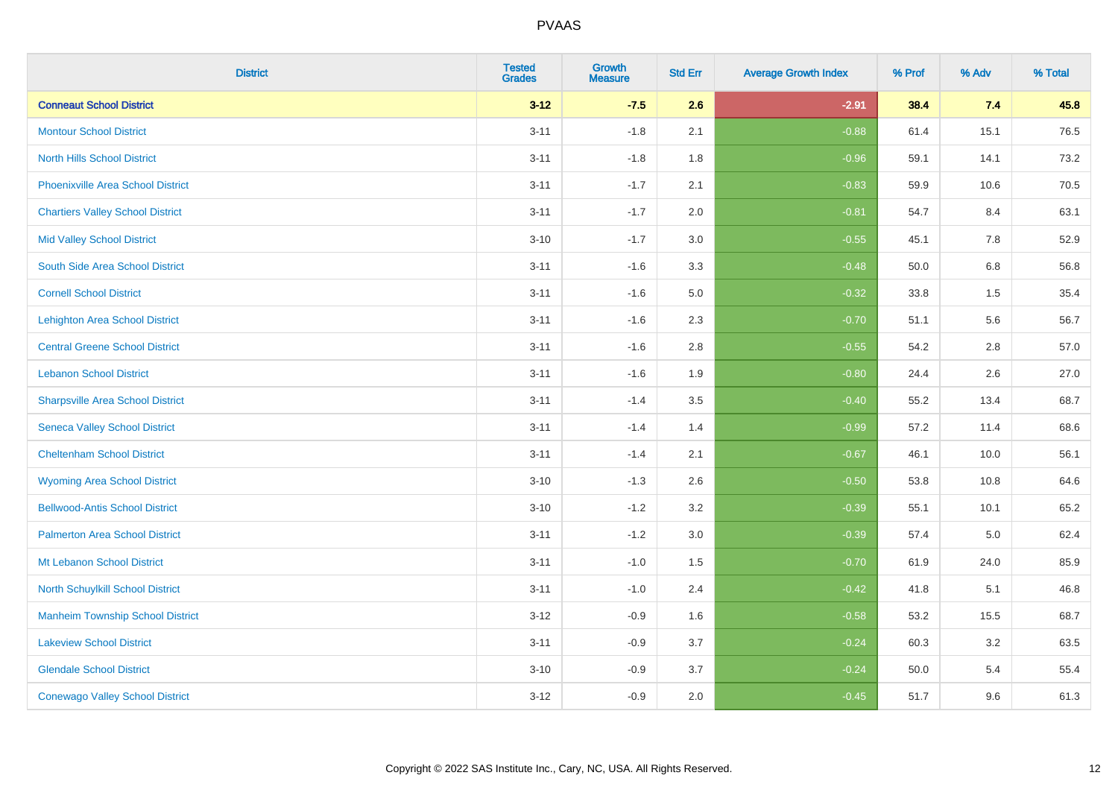| <b>District</b>                          | <b>Tested</b><br><b>Grades</b> | Growth<br><b>Measure</b> | <b>Std Err</b> | <b>Average Growth Index</b> | % Prof | % Adv   | % Total |
|------------------------------------------|--------------------------------|--------------------------|----------------|-----------------------------|--------|---------|---------|
| <b>Conneaut School District</b>          | $3 - 12$                       | $-7.5$                   | 2.6            | $-2.91$                     | 38.4   | 7.4     | 45.8    |
| <b>Montour School District</b>           | $3 - 11$                       | $-1.8$                   | 2.1            | $-0.88$                     | 61.4   | 15.1    | 76.5    |
| <b>North Hills School District</b>       | $3 - 11$                       | $-1.8$                   | 1.8            | $-0.96$                     | 59.1   | 14.1    | 73.2    |
| <b>Phoenixville Area School District</b> | $3 - 11$                       | $-1.7$                   | 2.1            | $-0.83$                     | 59.9   | 10.6    | 70.5    |
| <b>Chartiers Valley School District</b>  | $3 - 11$                       | $-1.7$                   | 2.0            | $-0.81$                     | 54.7   | 8.4     | 63.1    |
| <b>Mid Valley School District</b>        | $3 - 10$                       | $-1.7$                   | 3.0            | $-0.55$                     | 45.1   | 7.8     | 52.9    |
| South Side Area School District          | $3 - 11$                       | $-1.6$                   | 3.3            | $-0.48$                     | 50.0   | $6.8\,$ | 56.8    |
| <b>Cornell School District</b>           | $3 - 11$                       | $-1.6$                   | 5.0            | $-0.32$                     | 33.8   | 1.5     | 35.4    |
| <b>Lehighton Area School District</b>    | $3 - 11$                       | $-1.6$                   | 2.3            | $-0.70$                     | 51.1   | 5.6     | 56.7    |
| <b>Central Greene School District</b>    | $3 - 11$                       | $-1.6$                   | 2.8            | $-0.55$                     | 54.2   | 2.8     | 57.0    |
| <b>Lebanon School District</b>           | $3 - 11$                       | $-1.6$                   | 1.9            | $-0.80$                     | 24.4   | 2.6     | 27.0    |
| <b>Sharpsville Area School District</b>  | $3 - 11$                       | $-1.4$                   | 3.5            | $-0.40$                     | 55.2   | 13.4    | 68.7    |
| <b>Seneca Valley School District</b>     | $3 - 11$                       | $-1.4$                   | 1.4            | $-0.99$                     | 57.2   | 11.4    | 68.6    |
| <b>Cheltenham School District</b>        | $3 - 11$                       | $-1.4$                   | 2.1            | $-0.67$                     | 46.1   | 10.0    | 56.1    |
| <b>Wyoming Area School District</b>      | $3 - 10$                       | $-1.3$                   | 2.6            | $-0.50$                     | 53.8   | 10.8    | 64.6    |
| <b>Bellwood-Antis School District</b>    | $3 - 10$                       | $-1.2$                   | 3.2            | $-0.39$                     | 55.1   | 10.1    | 65.2    |
| <b>Palmerton Area School District</b>    | $3 - 11$                       | $-1.2$                   | 3.0            | $-0.39$                     | 57.4   | 5.0     | 62.4    |
| Mt Lebanon School District               | $3 - 11$                       | $-1.0$                   | 1.5            | $-0.70$                     | 61.9   | 24.0    | 85.9    |
| North Schuylkill School District         | $3 - 11$                       | $-1.0$                   | 2.4            | $-0.42$                     | 41.8   | 5.1     | 46.8    |
| <b>Manheim Township School District</b>  | $3 - 12$                       | $-0.9$                   | 1.6            | $-0.58$                     | 53.2   | 15.5    | 68.7    |
| <b>Lakeview School District</b>          | $3 - 11$                       | $-0.9$                   | 3.7            | $-0.24$                     | 60.3   | $3.2\,$ | 63.5    |
| <b>Glendale School District</b>          | $3 - 10$                       | $-0.9$                   | 3.7            | $-0.24$                     | 50.0   | 5.4     | 55.4    |
| <b>Conewago Valley School District</b>   | $3 - 12$                       | $-0.9$                   | 2.0            | $-0.45$                     | 51.7   | 9.6     | 61.3    |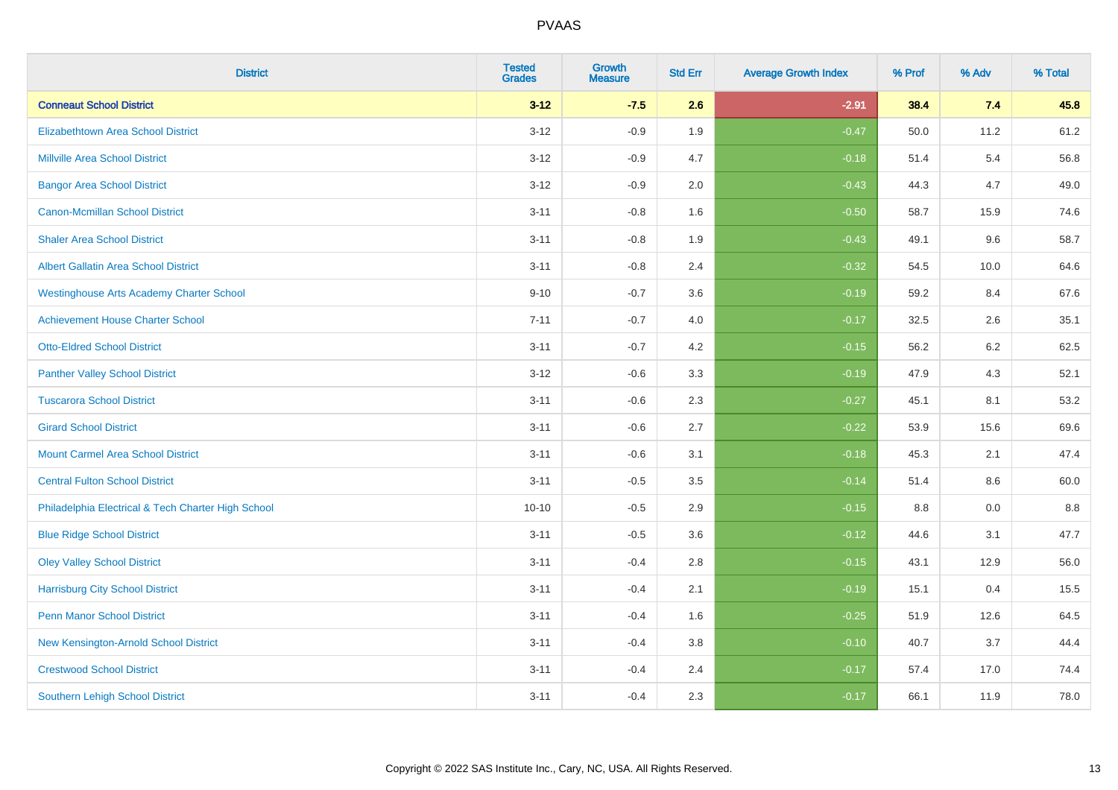| <b>District</b>                                    | <b>Tested</b><br><b>Grades</b> | <b>Growth</b><br><b>Measure</b> | <b>Std Err</b> | <b>Average Growth Index</b> | % Prof | % Adv | % Total |
|----------------------------------------------------|--------------------------------|---------------------------------|----------------|-----------------------------|--------|-------|---------|
| <b>Conneaut School District</b>                    | $3 - 12$                       | $-7.5$                          | 2.6            | $-2.91$                     | 38.4   | 7.4   | 45.8    |
| <b>Elizabethtown Area School District</b>          | $3 - 12$                       | $-0.9$                          | 1.9            | $-0.47$                     | 50.0   | 11.2  | 61.2    |
| <b>Millville Area School District</b>              | $3 - 12$                       | $-0.9$                          | 4.7            | $-0.18$                     | 51.4   | 5.4   | 56.8    |
| <b>Bangor Area School District</b>                 | $3 - 12$                       | $-0.9$                          | 2.0            | $-0.43$                     | 44.3   | 4.7   | 49.0    |
| <b>Canon-Mcmillan School District</b>              | $3 - 11$                       | $-0.8$                          | 1.6            | $-0.50$                     | 58.7   | 15.9  | 74.6    |
| <b>Shaler Area School District</b>                 | $3 - 11$                       | $-0.8$                          | 1.9            | $-0.43$                     | 49.1   | 9.6   | 58.7    |
| Albert Gallatin Area School District               | $3 - 11$                       | $-0.8$                          | 2.4            | $-0.32$                     | 54.5   | 10.0  | 64.6    |
| <b>Westinghouse Arts Academy Charter School</b>    | $9 - 10$                       | $-0.7$                          | 3.6            | $-0.19$                     | 59.2   | 8.4   | 67.6    |
| <b>Achievement House Charter School</b>            | $7 - 11$                       | $-0.7$                          | 4.0            | $-0.17$                     | 32.5   | 2.6   | 35.1    |
| <b>Otto-Eldred School District</b>                 | $3 - 11$                       | $-0.7$                          | 4.2            | $-0.15$                     | 56.2   | 6.2   | 62.5    |
| <b>Panther Valley School District</b>              | $3 - 12$                       | $-0.6$                          | 3.3            | $-0.19$                     | 47.9   | 4.3   | 52.1    |
| <b>Tuscarora School District</b>                   | $3 - 11$                       | $-0.6$                          | 2.3            | $-0.27$                     | 45.1   | 8.1   | 53.2    |
| <b>Girard School District</b>                      | $3 - 11$                       | $-0.6$                          | 2.7            | $-0.22$                     | 53.9   | 15.6  | 69.6    |
| <b>Mount Carmel Area School District</b>           | $3 - 11$                       | $-0.6$                          | 3.1            | $-0.18$                     | 45.3   | 2.1   | 47.4    |
| <b>Central Fulton School District</b>              | $3 - 11$                       | $-0.5$                          | 3.5            | $-0.14$                     | 51.4   | 8.6   | 60.0    |
| Philadelphia Electrical & Tech Charter High School | $10 - 10$                      | $-0.5$                          | 2.9            | $-0.15$                     | 8.8    | 0.0   | $8.8\,$ |
| <b>Blue Ridge School District</b>                  | $3 - 11$                       | $-0.5$                          | 3.6            | $-0.12$                     | 44.6   | 3.1   | 47.7    |
| <b>Oley Valley School District</b>                 | $3 - 11$                       | $-0.4$                          | 2.8            | $-0.15$                     | 43.1   | 12.9  | 56.0    |
| <b>Harrisburg City School District</b>             | $3 - 11$                       | $-0.4$                          | 2.1            | $-0.19$                     | 15.1   | 0.4   | 15.5    |
| <b>Penn Manor School District</b>                  | $3 - 11$                       | $-0.4$                          | 1.6            | $-0.25$                     | 51.9   | 12.6  | 64.5    |
| New Kensington-Arnold School District              | $3 - 11$                       | $-0.4$                          | 3.8            | $-0.10$                     | 40.7   | 3.7   | 44.4    |
| <b>Crestwood School District</b>                   | $3 - 11$                       | $-0.4$                          | 2.4            | $-0.17$                     | 57.4   | 17.0  | 74.4    |
| <b>Southern Lehigh School District</b>             | $3 - 11$                       | $-0.4$                          | 2.3            | $-0.17$                     | 66.1   | 11.9  | 78.0    |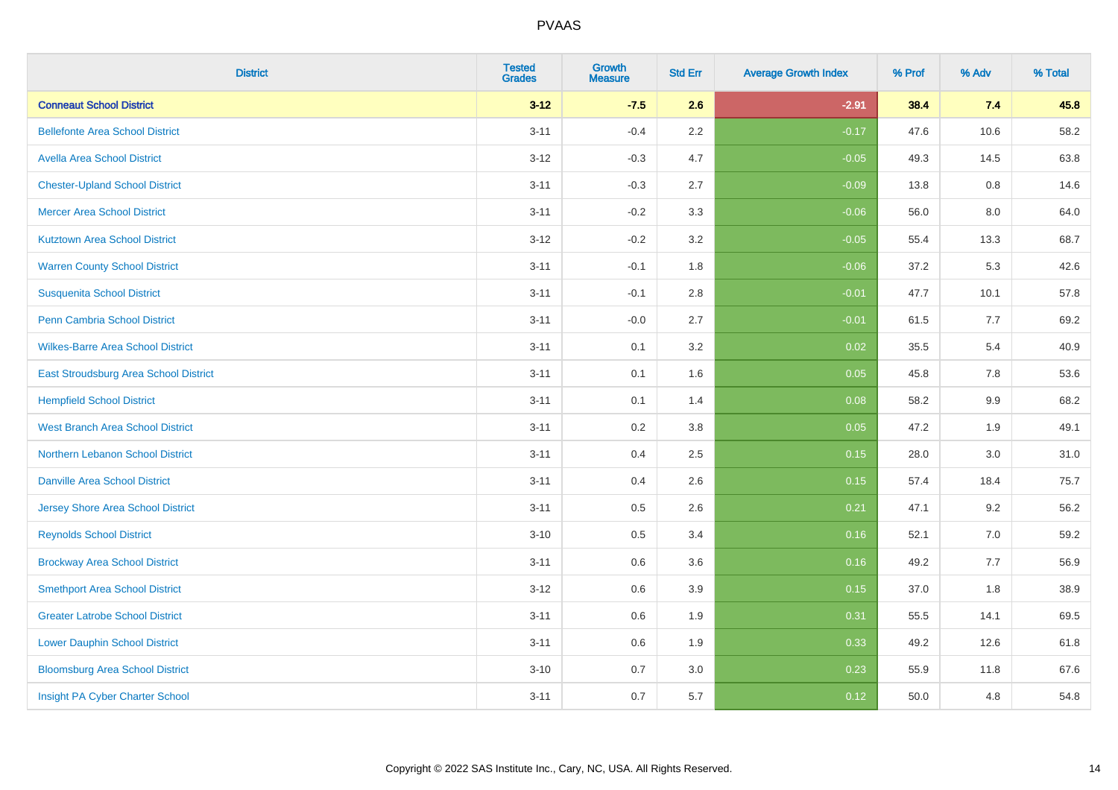| <b>District</b>                          | <b>Tested</b><br><b>Grades</b> | <b>Growth</b><br><b>Measure</b> | <b>Std Err</b> | <b>Average Growth Index</b> | % Prof | % Adv   | % Total |
|------------------------------------------|--------------------------------|---------------------------------|----------------|-----------------------------|--------|---------|---------|
| <b>Conneaut School District</b>          | $3 - 12$                       | $-7.5$                          | 2.6            | $-2.91$                     | 38.4   | 7.4     | 45.8    |
| <b>Bellefonte Area School District</b>   | $3 - 11$                       | $-0.4$                          | 2.2            | $-0.17$                     | 47.6   | 10.6    | 58.2    |
| <b>Avella Area School District</b>       | $3 - 12$                       | $-0.3$                          | 4.7            | $-0.05$                     | 49.3   | 14.5    | 63.8    |
| <b>Chester-Upland School District</b>    | $3 - 11$                       | $-0.3$                          | 2.7            | $-0.09$                     | 13.8   | 0.8     | 14.6    |
| <b>Mercer Area School District</b>       | $3 - 11$                       | $-0.2$                          | 3.3            | $-0.06$                     | 56.0   | 8.0     | 64.0    |
| <b>Kutztown Area School District</b>     | $3 - 12$                       | $-0.2$                          | 3.2            | $-0.05$                     | 55.4   | 13.3    | 68.7    |
| <b>Warren County School District</b>     | $3 - 11$                       | $-0.1$                          | 1.8            | $-0.06$                     | 37.2   | 5.3     | 42.6    |
| <b>Susquenita School District</b>        | $3 - 11$                       | $-0.1$                          | 2.8            | $-0.01$                     | 47.7   | 10.1    | 57.8    |
| <b>Penn Cambria School District</b>      | $3 - 11$                       | $-0.0$                          | 2.7            | $-0.01$                     | 61.5   | 7.7     | 69.2    |
| <b>Wilkes-Barre Area School District</b> | $3 - 11$                       | 0.1                             | 3.2            | 0.02                        | 35.5   | 5.4     | 40.9    |
| East Stroudsburg Area School District    | $3 - 11$                       | 0.1                             | 1.6            | 0.05                        | 45.8   | 7.8     | 53.6    |
| <b>Hempfield School District</b>         | $3 - 11$                       | 0.1                             | 1.4            | 0.08                        | 58.2   | 9.9     | 68.2    |
| <b>West Branch Area School District</b>  | $3 - 11$                       | 0.2                             | 3.8            | 0.05                        | 47.2   | 1.9     | 49.1    |
| Northern Lebanon School District         | $3 - 11$                       | 0.4                             | 2.5            | 0.15                        | 28.0   | $3.0\,$ | 31.0    |
| <b>Danville Area School District</b>     | $3 - 11$                       | 0.4                             | 2.6            | 0.15                        | 57.4   | 18.4    | 75.7    |
| <b>Jersey Shore Area School District</b> | $3 - 11$                       | 0.5                             | 2.6            | 0.21                        | 47.1   | 9.2     | 56.2    |
| <b>Reynolds School District</b>          | $3 - 10$                       | 0.5                             | 3.4            | 0.16                        | 52.1   | 7.0     | 59.2    |
| <b>Brockway Area School District</b>     | $3 - 11$                       | 0.6                             | 3.6            | 0.16                        | 49.2   | 7.7     | 56.9    |
| <b>Smethport Area School District</b>    | $3 - 12$                       | 0.6                             | 3.9            | 0.15                        | 37.0   | 1.8     | 38.9    |
| <b>Greater Latrobe School District</b>   | $3 - 11$                       | 0.6                             | 1.9            | 0.31                        | 55.5   | 14.1    | 69.5    |
| <b>Lower Dauphin School District</b>     | $3 - 11$                       | 0.6                             | 1.9            | 0.33                        | 49.2   | 12.6    | 61.8    |
| <b>Bloomsburg Area School District</b>   | $3 - 10$                       | 0.7                             | 3.0            | 0.23                        | 55.9   | 11.8    | 67.6    |
| Insight PA Cyber Charter School          | $3 - 11$                       | 0.7                             | 5.7            | 0.12                        | 50.0   | 4.8     | 54.8    |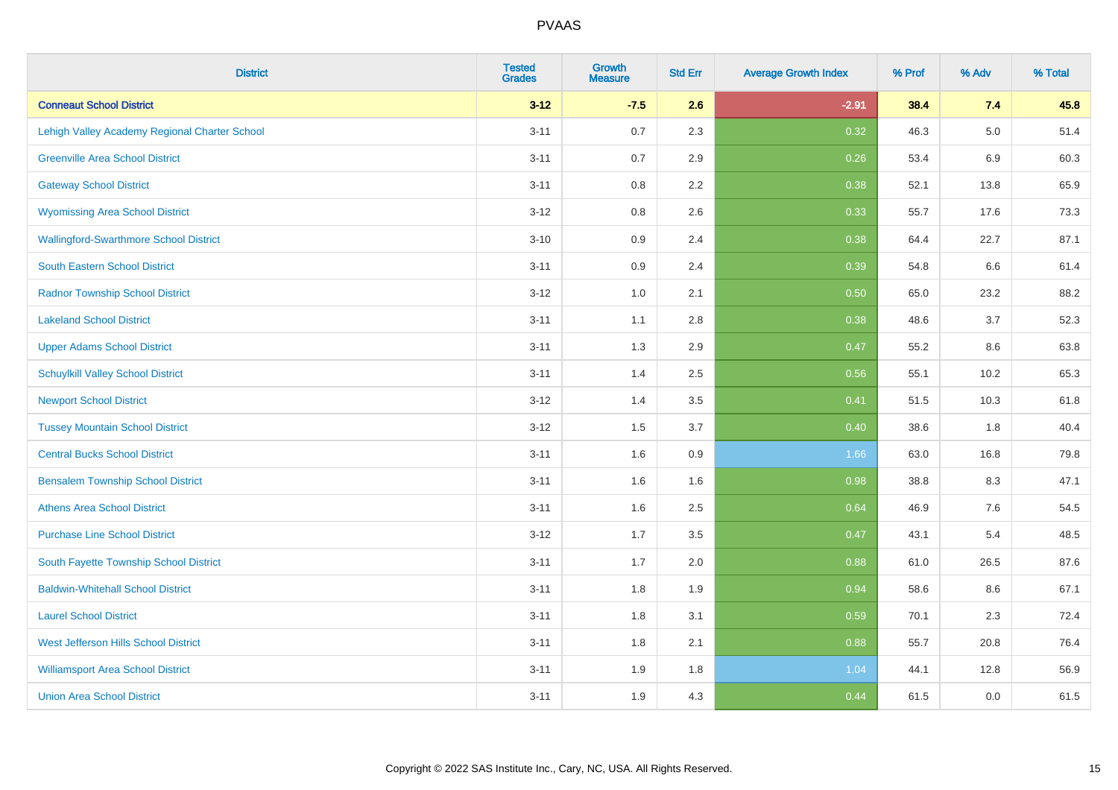| <b>District</b>                               | <b>Tested</b><br><b>Grades</b> | <b>Growth</b><br><b>Measure</b> | <b>Std Err</b> | <b>Average Growth Index</b> | % Prof | % Adv   | % Total |
|-----------------------------------------------|--------------------------------|---------------------------------|----------------|-----------------------------|--------|---------|---------|
| <b>Conneaut School District</b>               | $3 - 12$                       | $-7.5$                          | 2.6            | $-2.91$                     | 38.4   | 7.4     | 45.8    |
| Lehigh Valley Academy Regional Charter School | $3 - 11$                       | 0.7                             | 2.3            | 0.32                        | 46.3   | $5.0\,$ | 51.4    |
| <b>Greenville Area School District</b>        | $3 - 11$                       | 0.7                             | 2.9            | 0.26                        | 53.4   | 6.9     | 60.3    |
| <b>Gateway School District</b>                | $3 - 11$                       | 0.8                             | 2.2            | 0.38                        | 52.1   | 13.8    | 65.9    |
| <b>Wyomissing Area School District</b>        | $3 - 12$                       | 0.8                             | 2.6            | 0.33                        | 55.7   | 17.6    | 73.3    |
| <b>Wallingford-Swarthmore School District</b> | $3 - 10$                       | 0.9                             | 2.4            | 0.38                        | 64.4   | 22.7    | 87.1    |
| South Eastern School District                 | $3 - 11$                       | 0.9                             | 2.4            | 0.39                        | 54.8   | 6.6     | 61.4    |
| <b>Radnor Township School District</b>        | $3 - 12$                       | 1.0                             | 2.1            | 0.50                        | 65.0   | 23.2    | 88.2    |
| <b>Lakeland School District</b>               | $3 - 11$                       | 1.1                             | 2.8            | 0.38                        | 48.6   | 3.7     | 52.3    |
| <b>Upper Adams School District</b>            | $3 - 11$                       | 1.3                             | 2.9            | 0.47                        | 55.2   | 8.6     | 63.8    |
| <b>Schuylkill Valley School District</b>      | $3 - 11$                       | 1.4                             | 2.5            | 0.56                        | 55.1   | 10.2    | 65.3    |
| <b>Newport School District</b>                | $3 - 12$                       | 1.4                             | 3.5            | 0.41                        | 51.5   | 10.3    | 61.8    |
| <b>Tussey Mountain School District</b>        | $3 - 12$                       | 1.5                             | 3.7            | 0.40                        | 38.6   | 1.8     | 40.4    |
| <b>Central Bucks School District</b>          | $3 - 11$                       | 1.6                             | 0.9            | 1.66                        | 63.0   | 16.8    | 79.8    |
| <b>Bensalem Township School District</b>      | $3 - 11$                       | 1.6                             | 1.6            | 0.98                        | 38.8   | 8.3     | 47.1    |
| <b>Athens Area School District</b>            | $3 - 11$                       | 1.6                             | 2.5            | 0.64                        | 46.9   | $7.6\,$ | 54.5    |
| <b>Purchase Line School District</b>          | $3 - 12$                       | 1.7                             | 3.5            | 0.47                        | 43.1   | 5.4     | 48.5    |
| South Fayette Township School District        | $3 - 11$                       | 1.7                             | 2.0            | 0.88                        | 61.0   | 26.5    | 87.6    |
| <b>Baldwin-Whitehall School District</b>      | $3 - 11$                       | 1.8                             | 1.9            | 0.94                        | 58.6   | 8.6     | 67.1    |
| <b>Laurel School District</b>                 | $3 - 11$                       | 1.8                             | 3.1            | 0.59                        | 70.1   | 2.3     | 72.4    |
| <b>West Jefferson Hills School District</b>   | $3 - 11$                       | 1.8                             | 2.1            | 0.88                        | 55.7   | 20.8    | 76.4    |
| <b>Williamsport Area School District</b>      | $3 - 11$                       | 1.9                             | 1.8            | 1.04                        | 44.1   | 12.8    | 56.9    |
| <b>Union Area School District</b>             | $3 - 11$                       | 1.9                             | 4.3            | 0.44                        | 61.5   | 0.0     | 61.5    |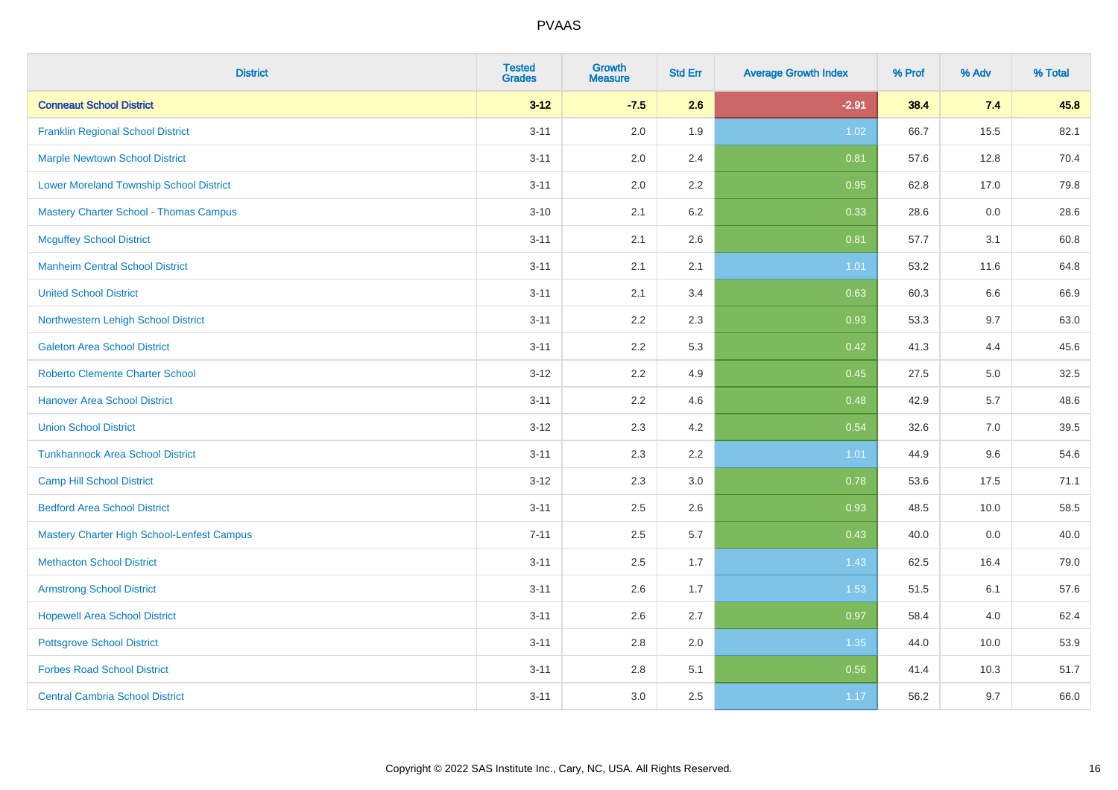| <b>District</b>                                | <b>Tested</b><br><b>Grades</b> | <b>Growth</b><br><b>Measure</b> | <b>Std Err</b> | <b>Average Growth Index</b> | % Prof | % Adv | % Total |
|------------------------------------------------|--------------------------------|---------------------------------|----------------|-----------------------------|--------|-------|---------|
| <b>Conneaut School District</b>                | $3 - 12$                       | $-7.5$                          | 2.6            | $-2.91$                     | 38.4   | 7.4   | 45.8    |
| <b>Franklin Regional School District</b>       | $3 - 11$                       | 2.0                             | 1.9            | 1.02                        | 66.7   | 15.5  | 82.1    |
| <b>Marple Newtown School District</b>          | $3 - 11$                       | 2.0                             | 2.4            | 0.81                        | 57.6   | 12.8  | 70.4    |
| <b>Lower Moreland Township School District</b> | $3 - 11$                       | 2.0                             | 2.2            | 0.95                        | 62.8   | 17.0  | 79.8    |
| <b>Mastery Charter School - Thomas Campus</b>  | $3 - 10$                       | 2.1                             | 6.2            | 0.33                        | 28.6   | 0.0   | 28.6    |
| <b>Mcguffey School District</b>                | $3 - 11$                       | 2.1                             | 2.6            | 0.81                        | 57.7   | 3.1   | 60.8    |
| <b>Manheim Central School District</b>         | $3 - 11$                       | 2.1                             | 2.1            | $1.01$                      | 53.2   | 11.6  | 64.8    |
| <b>United School District</b>                  | $3 - 11$                       | 2.1                             | 3.4            | 0.63                        | 60.3   | 6.6   | 66.9    |
| Northwestern Lehigh School District            | $3 - 11$                       | 2.2                             | 2.3            | 0.93                        | 53.3   | 9.7   | 63.0    |
| <b>Galeton Area School District</b>            | $3 - 11$                       | 2.2                             | 5.3            | 0.42                        | 41.3   | 4.4   | 45.6    |
| <b>Roberto Clemente Charter School</b>         | $3 - 12$                       | 2.2                             | 4.9            | 0.45                        | 27.5   | 5.0   | 32.5    |
| <b>Hanover Area School District</b>            | $3 - 11$                       | 2.2                             | 4.6            | 0.48                        | 42.9   | 5.7   | 48.6    |
| <b>Union School District</b>                   | $3 - 12$                       | 2.3                             | 4.2            | 0.54                        | 32.6   | 7.0   | 39.5    |
| <b>Tunkhannock Area School District</b>        | $3 - 11$                       | 2.3                             | 2.2            | 1.01                        | 44.9   | 9.6   | 54.6    |
| <b>Camp Hill School District</b>               | $3 - 12$                       | 2.3                             | 3.0            | 0.78                        | 53.6   | 17.5  | 71.1    |
| <b>Bedford Area School District</b>            | $3 - 11$                       | 2.5                             | 2.6            | 0.93                        | 48.5   | 10.0  | 58.5    |
| Mastery Charter High School-Lenfest Campus     | $7 - 11$                       | 2.5                             | 5.7            | 0.43                        | 40.0   | 0.0   | 40.0    |
| <b>Methacton School District</b>               | $3 - 11$                       | 2.5                             | 1.7            | 1.43                        | 62.5   | 16.4  | 79.0    |
| <b>Armstrong School District</b>               | $3 - 11$                       | 2.6                             | 1.7            | 1.53                        | 51.5   | 6.1   | 57.6    |
| <b>Hopewell Area School District</b>           | $3 - 11$                       | 2.6                             | 2.7            | 0.97                        | 58.4   | 4.0   | 62.4    |
| <b>Pottsgrove School District</b>              | $3 - 11$                       | 2.8                             | 2.0            | 1.35                        | 44.0   | 10.0  | 53.9    |
| <b>Forbes Road School District</b>             | $3 - 11$                       | 2.8                             | 5.1            | 0.56                        | 41.4   | 10.3  | 51.7    |
| <b>Central Cambria School District</b>         | $3 - 11$                       | 3.0                             | 2.5            | 1.17                        | 56.2   | 9.7   | 66.0    |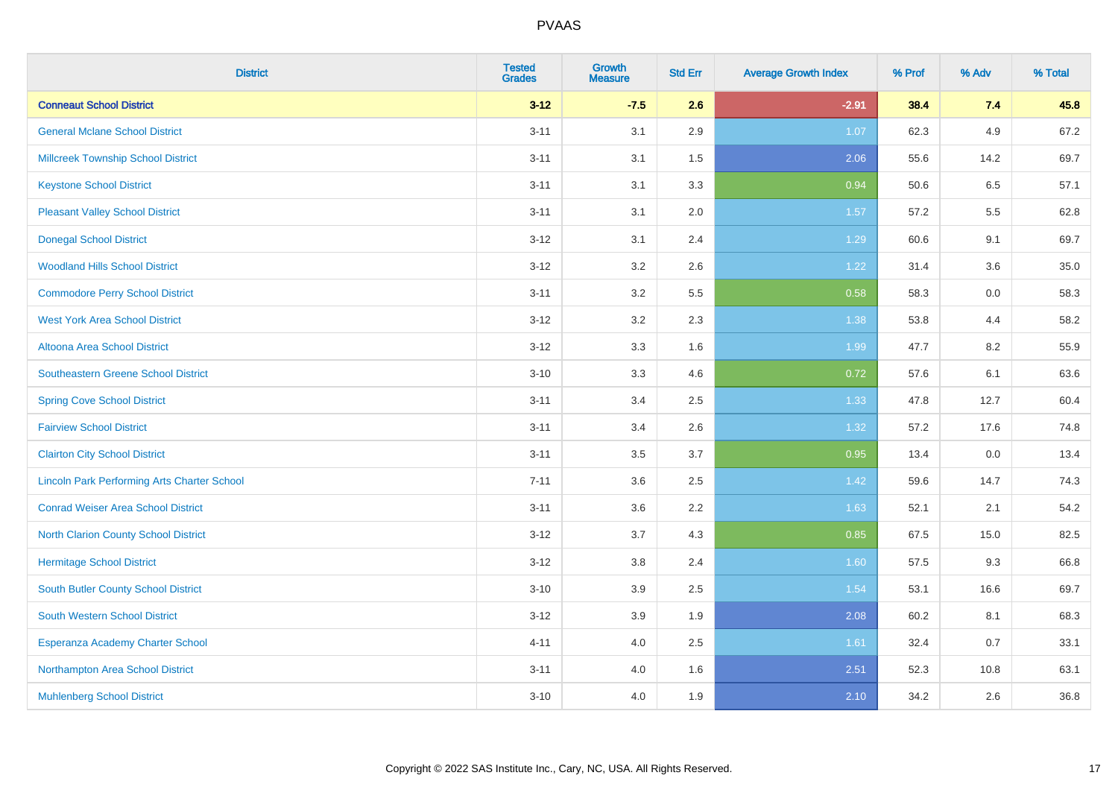| <b>District</b>                                    | <b>Tested</b><br><b>Grades</b> | <b>Growth</b><br><b>Measure</b> | <b>Std Err</b> | <b>Average Growth Index</b> | % Prof | % Adv | % Total |
|----------------------------------------------------|--------------------------------|---------------------------------|----------------|-----------------------------|--------|-------|---------|
| <b>Conneaut School District</b>                    | $3 - 12$                       | $-7.5$                          | 2.6            | $-2.91$                     | 38.4   | 7.4   | 45.8    |
| <b>General Mclane School District</b>              | $3 - 11$                       | 3.1                             | 2.9            | 1.07                        | 62.3   | 4.9   | 67.2    |
| <b>Millcreek Township School District</b>          | $3 - 11$                       | 3.1                             | 1.5            | 2.06                        | 55.6   | 14.2  | 69.7    |
| <b>Keystone School District</b>                    | $3 - 11$                       | 3.1                             | 3.3            | 0.94                        | 50.6   | 6.5   | 57.1    |
| <b>Pleasant Valley School District</b>             | $3 - 11$                       | 3.1                             | 2.0            | 1.57                        | 57.2   | 5.5   | 62.8    |
| <b>Donegal School District</b>                     | $3 - 12$                       | 3.1                             | 2.4            | 1.29                        | 60.6   | 9.1   | 69.7    |
| <b>Woodland Hills School District</b>              | $3 - 12$                       | 3.2                             | 2.6            | 1.22                        | 31.4   | 3.6   | 35.0    |
| <b>Commodore Perry School District</b>             | $3 - 11$                       | 3.2                             | 5.5            | 0.58                        | 58.3   | 0.0   | 58.3    |
| <b>West York Area School District</b>              | $3 - 12$                       | 3.2                             | 2.3            | 1.38                        | 53.8   | 4.4   | 58.2    |
| Altoona Area School District                       | $3 - 12$                       | 3.3                             | 1.6            | 1.99                        | 47.7   | 8.2   | 55.9    |
| <b>Southeastern Greene School District</b>         | $3 - 10$                       | 3.3                             | 4.6            | 0.72                        | 57.6   | 6.1   | 63.6    |
| <b>Spring Cove School District</b>                 | $3 - 11$                       | 3.4                             | 2.5            | 1.33                        | 47.8   | 12.7  | 60.4    |
| <b>Fairview School District</b>                    | $3 - 11$                       | 3.4                             | 2.6            | 1.32                        | 57.2   | 17.6  | 74.8    |
| <b>Clairton City School District</b>               | $3 - 11$                       | 3.5                             | 3.7            | 0.95                        | 13.4   | 0.0   | 13.4    |
| <b>Lincoln Park Performing Arts Charter School</b> | $7 - 11$                       | 3.6                             | 2.5            | 1.42                        | 59.6   | 14.7  | 74.3    |
| <b>Conrad Weiser Area School District</b>          | $3 - 11$                       | 3.6                             | 2.2            | 1.63                        | 52.1   | 2.1   | 54.2    |
| <b>North Clarion County School District</b>        | $3 - 12$                       | 3.7                             | 4.3            | 0.85                        | 67.5   | 15.0  | 82.5    |
| <b>Hermitage School District</b>                   | $3 - 12$                       | 3.8                             | 2.4            | 1.60                        | 57.5   | 9.3   | 66.8    |
| <b>South Butler County School District</b>         | $3 - 10$                       | 3.9                             | 2.5            | 1.54                        | 53.1   | 16.6  | 69.7    |
| South Western School District                      | $3-12$                         | 3.9                             | 1.9            | 2.08                        | 60.2   | 8.1   | 68.3    |
| Esperanza Academy Charter School                   | $4 - 11$                       | 4.0                             | 2.5            | 1.61                        | 32.4   | 0.7   | 33.1    |
| Northampton Area School District                   | $3 - 11$                       | 4.0                             | 1.6            | 2.51                        | 52.3   | 10.8  | 63.1    |
| <b>Muhlenberg School District</b>                  | $3 - 10$                       | 4.0                             | 1.9            | 2.10                        | 34.2   | 2.6   | 36.8    |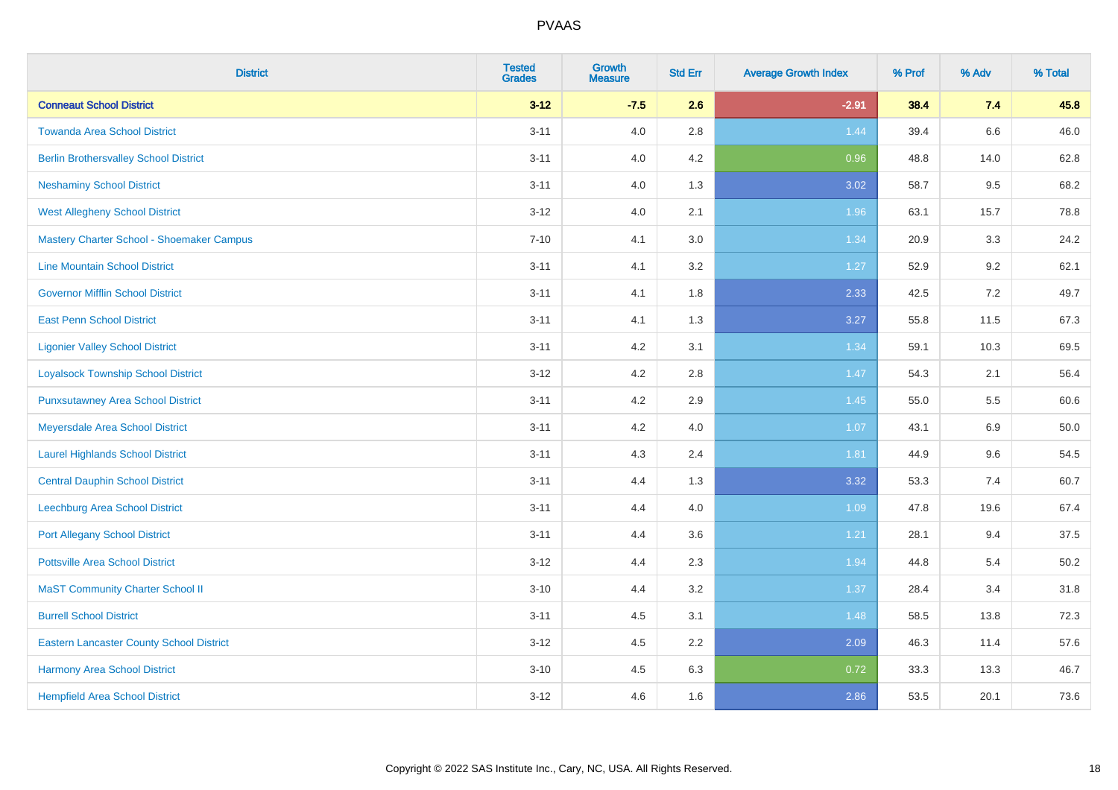| <b>District</b>                                 | <b>Tested</b><br><b>Grades</b> | <b>Growth</b><br><b>Measure</b> | <b>Std Err</b> | <b>Average Growth Index</b> | % Prof | % Adv | % Total |
|-------------------------------------------------|--------------------------------|---------------------------------|----------------|-----------------------------|--------|-------|---------|
| <b>Conneaut School District</b>                 | $3 - 12$                       | $-7.5$                          | 2.6            | $-2.91$                     | 38.4   | 7.4   | 45.8    |
| <b>Towanda Area School District</b>             | $3 - 11$                       | 4.0                             | 2.8            | 1.44                        | 39.4   | 6.6   | 46.0    |
| <b>Berlin Brothersvalley School District</b>    | $3 - 11$                       | 4.0                             | 4.2            | 0.96                        | 48.8   | 14.0  | 62.8    |
| <b>Neshaminy School District</b>                | $3 - 11$                       | 4.0                             | 1.3            | 3.02                        | 58.7   | 9.5   | 68.2    |
| <b>West Allegheny School District</b>           | $3 - 12$                       | 4.0                             | 2.1            | 1.96                        | 63.1   | 15.7  | 78.8    |
| Mastery Charter School - Shoemaker Campus       | $7 - 10$                       | 4.1                             | 3.0            | 1.34                        | 20.9   | 3.3   | 24.2    |
| <b>Line Mountain School District</b>            | $3 - 11$                       | 4.1                             | 3.2            | 1.27                        | 52.9   | 9.2   | 62.1    |
| <b>Governor Mifflin School District</b>         | $3 - 11$                       | 4.1                             | 1.8            | 2.33                        | 42.5   | 7.2   | 49.7    |
| <b>East Penn School District</b>                | $3 - 11$                       | 4.1                             | 1.3            | 3.27                        | 55.8   | 11.5  | 67.3    |
| <b>Ligonier Valley School District</b>          | $3 - 11$                       | 4.2                             | 3.1            | 1.34                        | 59.1   | 10.3  | 69.5    |
| <b>Loyalsock Township School District</b>       | $3 - 12$                       | 4.2                             | 2.8            | 1.47                        | 54.3   | 2.1   | 56.4    |
| <b>Punxsutawney Area School District</b>        | $3 - 11$                       | 4.2                             | 2.9            | 1.45                        | 55.0   | 5.5   | 60.6    |
| Meyersdale Area School District                 | $3 - 11$                       | 4.2                             | 4.0            | 1.07                        | 43.1   | 6.9   | 50.0    |
| <b>Laurel Highlands School District</b>         | $3 - 11$                       | 4.3                             | 2.4            | 1.81                        | 44.9   | 9.6   | 54.5    |
| <b>Central Dauphin School District</b>          | $3 - 11$                       | 4.4                             | 1.3            | 3.32                        | 53.3   | 7.4   | 60.7    |
| Leechburg Area School District                  | $3 - 11$                       | 4.4                             | 4.0            | 1.09                        | 47.8   | 19.6  | 67.4    |
| <b>Port Allegany School District</b>            | $3 - 11$                       | 4.4                             | 3.6            | 1.21                        | 28.1   | 9.4   | 37.5    |
| <b>Pottsville Area School District</b>          | $3 - 12$                       | 4.4                             | 2.3            | 1.94                        | 44.8   | 5.4   | 50.2    |
| <b>MaST Community Charter School II</b>         | $3 - 10$                       | 4.4                             | 3.2            | 1.37                        | 28.4   | 3.4   | 31.8    |
| <b>Burrell School District</b>                  | $3 - 11$                       | 4.5                             | 3.1            | 1.48                        | 58.5   | 13.8  | 72.3    |
| <b>Eastern Lancaster County School District</b> | $3-12$                         | 4.5                             | 2.2            | 2.09                        | 46.3   | 11.4  | 57.6    |
| <b>Harmony Area School District</b>             | $3 - 10$                       | 4.5                             | 6.3            | 0.72                        | 33.3   | 13.3  | 46.7    |
| <b>Hempfield Area School District</b>           | $3 - 12$                       | 4.6                             | 1.6            | 2.86                        | 53.5   | 20.1  | 73.6    |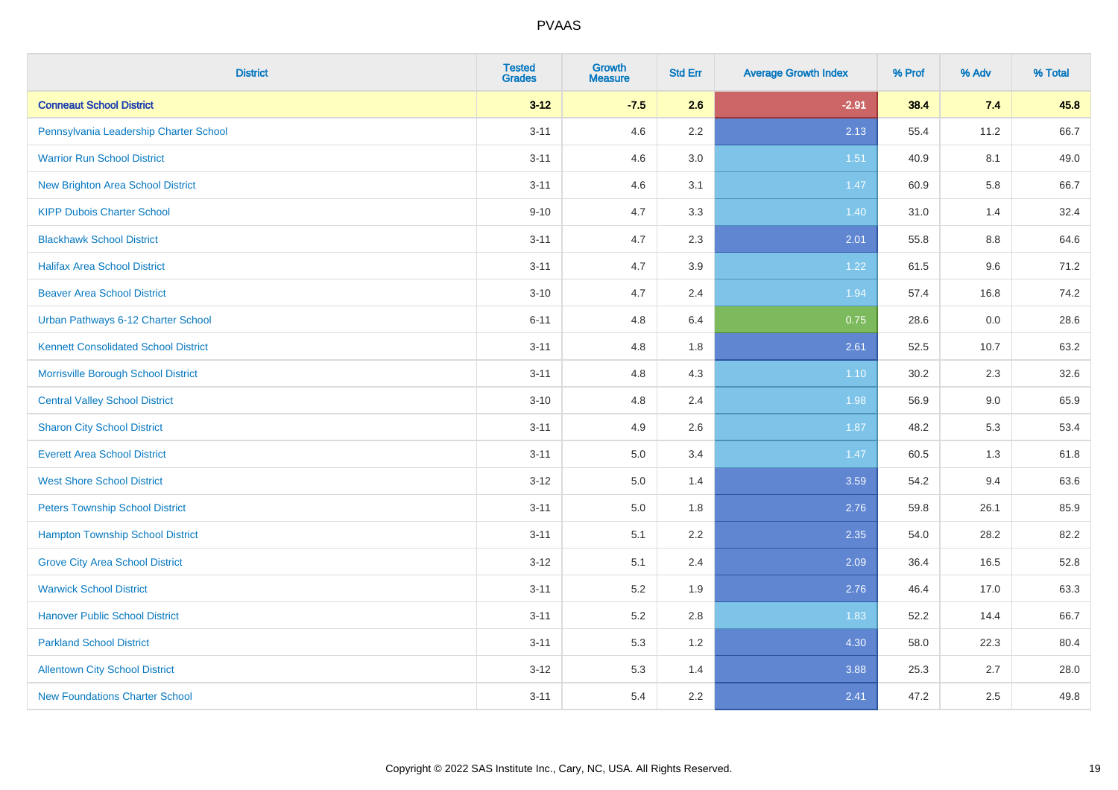| <b>District</b>                             | <b>Tested</b><br><b>Grades</b> | <b>Growth</b><br><b>Measure</b> | <b>Std Err</b> | <b>Average Growth Index</b> | % Prof | % Adv   | % Total |
|---------------------------------------------|--------------------------------|---------------------------------|----------------|-----------------------------|--------|---------|---------|
| <b>Conneaut School District</b>             | $3 - 12$                       | $-7.5$                          | 2.6            | $-2.91$                     | 38.4   | 7.4     | 45.8    |
| Pennsylvania Leadership Charter School      | $3 - 11$                       | 4.6                             | 2.2            | 2.13                        | 55.4   | 11.2    | 66.7    |
| <b>Warrior Run School District</b>          | $3 - 11$                       | 4.6                             | 3.0            | 1.51                        | 40.9   | 8.1     | 49.0    |
| New Brighton Area School District           | $3 - 11$                       | 4.6                             | 3.1            | 1.47                        | 60.9   | 5.8     | 66.7    |
| <b>KIPP Dubois Charter School</b>           | $9 - 10$                       | 4.7                             | 3.3            | 1.40                        | 31.0   | 1.4     | 32.4    |
| <b>Blackhawk School District</b>            | $3 - 11$                       | 4.7                             | 2.3            | 2.01                        | 55.8   | 8.8     | 64.6    |
| <b>Halifax Area School District</b>         | $3 - 11$                       | 4.7                             | 3.9            | 1.22                        | 61.5   | 9.6     | 71.2    |
| <b>Beaver Area School District</b>          | $3 - 10$                       | 4.7                             | 2.4            | 1.94                        | 57.4   | 16.8    | 74.2    |
| Urban Pathways 6-12 Charter School          | $6 - 11$                       | 4.8                             | 6.4            | 0.75                        | 28.6   | $0.0\,$ | 28.6    |
| <b>Kennett Consolidated School District</b> | $3 - 11$                       | 4.8                             | 1.8            | 2.61                        | 52.5   | 10.7    | 63.2    |
| Morrisville Borough School District         | $3 - 11$                       | 4.8                             | 4.3            | 1.10                        | 30.2   | 2.3     | 32.6    |
| <b>Central Valley School District</b>       | $3 - 10$                       | 4.8                             | 2.4            | 1.98                        | 56.9   | $9.0\,$ | 65.9    |
| <b>Sharon City School District</b>          | $3 - 11$                       | 4.9                             | 2.6            | 1.87                        | 48.2   | 5.3     | 53.4    |
| <b>Everett Area School District</b>         | $3 - 11$                       | 5.0                             | 3.4            | 1.47                        | 60.5   | 1.3     | 61.8    |
| <b>West Shore School District</b>           | $3 - 12$                       | $5.0\,$                         | 1.4            | 3.59                        | 54.2   | 9.4     | 63.6    |
| <b>Peters Township School District</b>      | $3 - 11$                       | 5.0                             | 1.8            | 2.76                        | 59.8   | 26.1    | 85.9    |
| <b>Hampton Township School District</b>     | $3 - 11$                       | 5.1                             | 2.2            | 2.35                        | 54.0   | 28.2    | 82.2    |
| <b>Grove City Area School District</b>      | $3 - 12$                       | 5.1                             | 2.4            | 2.09                        | 36.4   | 16.5    | 52.8    |
| <b>Warwick School District</b>              | $3 - 11$                       | 5.2                             | 1.9            | 2.76                        | 46.4   | 17.0    | 63.3    |
| <b>Hanover Public School District</b>       | $3 - 11$                       | 5.2                             | 2.8            | 1.83                        | 52.2   | 14.4    | 66.7    |
| <b>Parkland School District</b>             | $3 - 11$                       | 5.3                             | 1.2            | 4.30                        | 58.0   | 22.3    | 80.4    |
| <b>Allentown City School District</b>       | $3 - 12$                       | 5.3                             | 1.4            | 3.88                        | 25.3   | 2.7     | 28.0    |
| <b>New Foundations Charter School</b>       | $3 - 11$                       | 5.4                             | 2.2            | 2.41                        | 47.2   | 2.5     | 49.8    |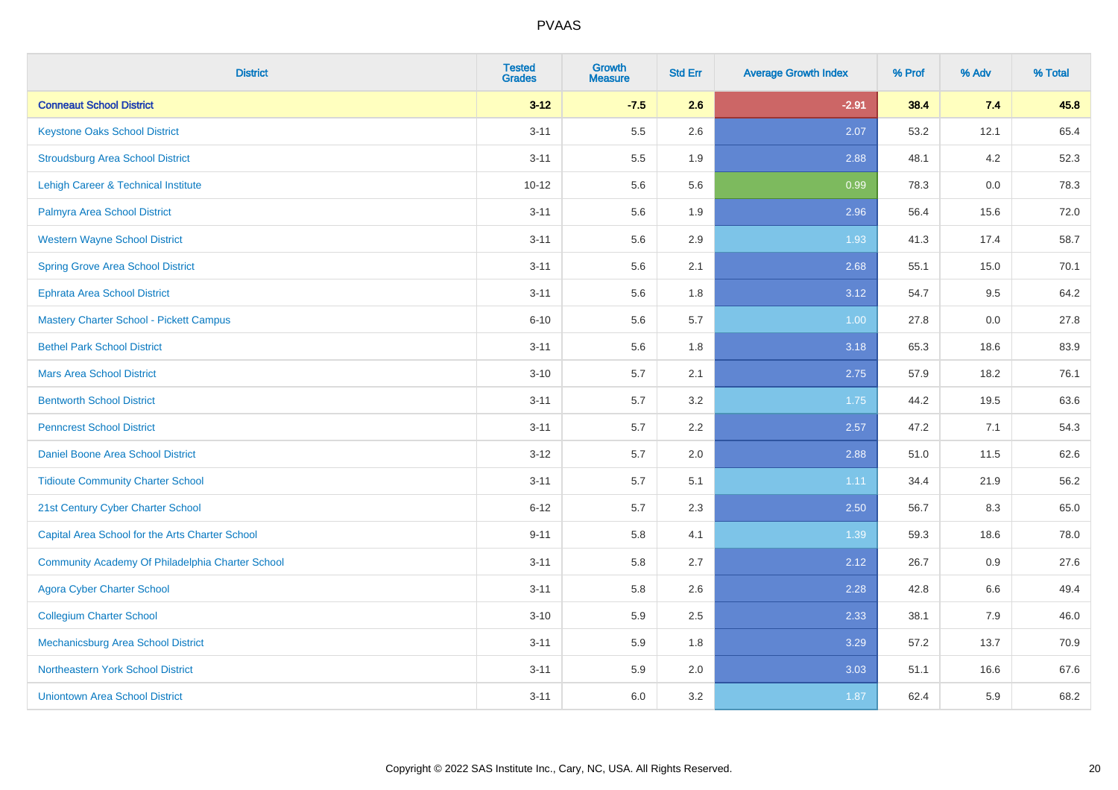| <b>District</b>                                  | <b>Tested</b><br><b>Grades</b> | <b>Growth</b><br><b>Measure</b> | <b>Std Err</b> | <b>Average Growth Index</b> | % Prof | % Adv | % Total |
|--------------------------------------------------|--------------------------------|---------------------------------|----------------|-----------------------------|--------|-------|---------|
| <b>Conneaut School District</b>                  | $3 - 12$                       | $-7.5$                          | 2.6            | $-2.91$                     | 38.4   | 7.4   | 45.8    |
| <b>Keystone Oaks School District</b>             | $3 - 11$                       | 5.5                             | 2.6            | 2.07                        | 53.2   | 12.1  | 65.4    |
| <b>Stroudsburg Area School District</b>          | $3 - 11$                       | $5.5\,$                         | 1.9            | 2.88                        | 48.1   | 4.2   | 52.3    |
| <b>Lehigh Career &amp; Technical Institute</b>   | $10 - 12$                      | 5.6                             | 5.6            | 0.99                        | 78.3   | 0.0   | 78.3    |
| Palmyra Area School District                     | $3 - 11$                       | 5.6                             | 1.9            | 2.96                        | 56.4   | 15.6  | 72.0    |
| <b>Western Wayne School District</b>             | $3 - 11$                       | 5.6                             | 2.9            | 1.93                        | 41.3   | 17.4  | 58.7    |
| <b>Spring Grove Area School District</b>         | $3 - 11$                       | 5.6                             | 2.1            | 2.68                        | 55.1   | 15.0  | 70.1    |
| <b>Ephrata Area School District</b>              | $3 - 11$                       | 5.6                             | 1.8            | 3.12                        | 54.7   | 9.5   | 64.2    |
| Mastery Charter School - Pickett Campus          | $6 - 10$                       | 5.6                             | 5.7            | 1.00                        | 27.8   | 0.0   | 27.8    |
| <b>Bethel Park School District</b>               | $3 - 11$                       | $5.6\,$                         | 1.8            | 3.18                        | 65.3   | 18.6  | 83.9    |
| <b>Mars Area School District</b>                 | $3 - 10$                       | 5.7                             | 2.1            | 2.75                        | 57.9   | 18.2  | 76.1    |
| <b>Bentworth School District</b>                 | $3 - 11$                       | 5.7                             | 3.2            | 1.75                        | 44.2   | 19.5  | 63.6    |
| <b>Penncrest School District</b>                 | $3 - 11$                       | 5.7                             | 2.2            | 2.57                        | 47.2   | 7.1   | 54.3    |
| Daniel Boone Area School District                | $3 - 12$                       | 5.7                             | 2.0            | 2.88                        | 51.0   | 11.5  | 62.6    |
| <b>Tidioute Community Charter School</b>         | $3 - 11$                       | 5.7                             | 5.1            | 1.11                        | 34.4   | 21.9  | 56.2    |
| 21st Century Cyber Charter School                | $6 - 12$                       | 5.7                             | 2.3            | 2.50                        | 56.7   | 8.3   | 65.0    |
| Capital Area School for the Arts Charter School  | $9 - 11$                       | 5.8                             | 4.1            | 1.39                        | 59.3   | 18.6  | 78.0    |
| Community Academy Of Philadelphia Charter School | $3 - 11$                       | 5.8                             | 2.7            | 2.12                        | 26.7   | 0.9   | 27.6    |
| <b>Agora Cyber Charter School</b>                | $3 - 11$                       | 5.8                             | 2.6            | 2.28                        | 42.8   | 6.6   | 49.4    |
| <b>Collegium Charter School</b>                  | $3 - 10$                       | 5.9                             | 2.5            | 2.33                        | 38.1   | 7.9   | 46.0    |
| <b>Mechanicsburg Area School District</b>        | $3 - 11$                       | 5.9                             | 1.8            | 3.29                        | 57.2   | 13.7  | 70.9    |
| Northeastern York School District                | $3 - 11$                       | 5.9                             | 2.0            | 3.03                        | 51.1   | 16.6  | 67.6    |
| <b>Uniontown Area School District</b>            | $3 - 11$                       | 6.0                             | 3.2            | 1.87                        | 62.4   | 5.9   | 68.2    |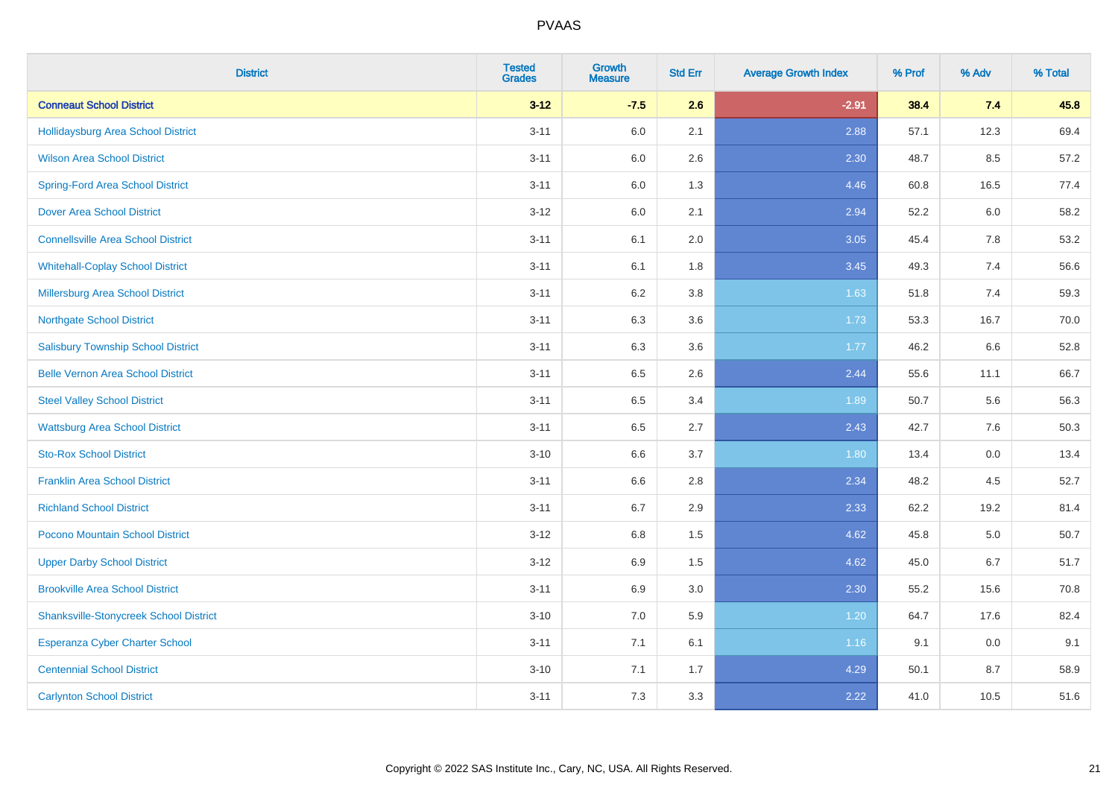| <b>District</b>                               | <b>Tested</b><br><b>Grades</b> | <b>Growth</b><br><b>Measure</b> | <b>Std Err</b> | <b>Average Growth Index</b> | % Prof | % Adv   | % Total |
|-----------------------------------------------|--------------------------------|---------------------------------|----------------|-----------------------------|--------|---------|---------|
| <b>Conneaut School District</b>               | $3 - 12$                       | $-7.5$                          | 2.6            | $-2.91$                     | 38.4   | 7.4     | 45.8    |
| Hollidaysburg Area School District            | $3 - 11$                       | 6.0                             | 2.1            | 2.88                        | 57.1   | 12.3    | 69.4    |
| <b>Wilson Area School District</b>            | $3 - 11$                       | 6.0                             | 2.6            | 2.30                        | 48.7   | 8.5     | 57.2    |
| <b>Spring-Ford Area School District</b>       | $3 - 11$                       | $6.0\,$                         | 1.3            | 4.46                        | 60.8   | 16.5    | 77.4    |
| <b>Dover Area School District</b>             | $3 - 12$                       | 6.0                             | 2.1            | 2.94                        | 52.2   | 6.0     | 58.2    |
| <b>Connellsville Area School District</b>     | $3 - 11$                       | 6.1                             | 2.0            | 3.05                        | 45.4   | 7.8     | 53.2    |
| <b>Whitehall-Coplay School District</b>       | $3 - 11$                       | 6.1                             | 1.8            | 3.45                        | 49.3   | 7.4     | 56.6    |
| <b>Millersburg Area School District</b>       | $3 - 11$                       | 6.2                             | 3.8            | 1.63                        | 51.8   | 7.4     | 59.3    |
| <b>Northgate School District</b>              | $3 - 11$                       | 6.3                             | 3.6            | 1.73                        | 53.3   | 16.7    | 70.0    |
| <b>Salisbury Township School District</b>     | $3 - 11$                       | 6.3                             | 3.6            | 1.77                        | 46.2   | 6.6     | 52.8    |
| <b>Belle Vernon Area School District</b>      | $3 - 11$                       | 6.5                             | 2.6            | 2.44                        | 55.6   | 11.1    | 66.7    |
| <b>Steel Valley School District</b>           | $3 - 11$                       | 6.5                             | 3.4            | 1.89                        | 50.7   | 5.6     | 56.3    |
| <b>Wattsburg Area School District</b>         | $3 - 11$                       | 6.5                             | 2.7            | 2.43                        | 42.7   | 7.6     | 50.3    |
| <b>Sto-Rox School District</b>                | $3 - 10$                       | 6.6                             | 3.7            | 1.80                        | 13.4   | $0.0\,$ | 13.4    |
| <b>Franklin Area School District</b>          | $3 - 11$                       | 6.6                             | 2.8            | 2.34                        | 48.2   | 4.5     | 52.7    |
| <b>Richland School District</b>               | $3 - 11$                       | 6.7                             | 2.9            | 2.33                        | 62.2   | 19.2    | 81.4    |
| Pocono Mountain School District               | $3-12$                         | 6.8                             | 1.5            | 4.62                        | 45.8   | 5.0     | 50.7    |
| <b>Upper Darby School District</b>            | $3-12$                         | 6.9                             | 1.5            | 4.62                        | 45.0   | 6.7     | 51.7    |
| <b>Brookville Area School District</b>        | $3 - 11$                       | 6.9                             | 3.0            | 2.30                        | 55.2   | 15.6    | 70.8    |
| <b>Shanksville-Stonycreek School District</b> | $3 - 10$                       | 7.0                             | 5.9            | 1.20                        | 64.7   | 17.6    | 82.4    |
| <b>Esperanza Cyber Charter School</b>         | $3 - 11$                       | 7.1                             | 6.1            | 1.16                        | 9.1    | 0.0     | 9.1     |
| <b>Centennial School District</b>             | $3 - 10$                       | 7.1                             | 1.7            | 4.29                        | 50.1   | 8.7     | 58.9    |
| <b>Carlynton School District</b>              | $3 - 11$                       | 7.3                             | 3.3            | 2.22                        | 41.0   | 10.5    | 51.6    |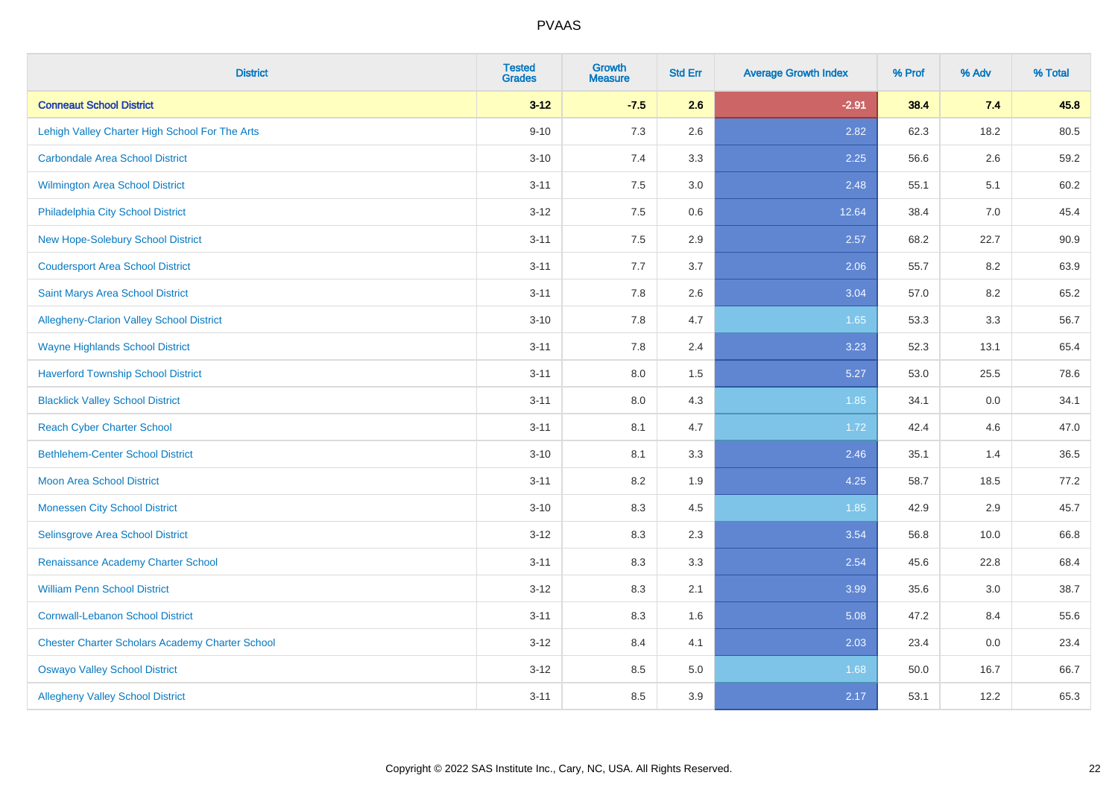| <b>District</b>                                        | <b>Tested</b><br><b>Grades</b> | <b>Growth</b><br><b>Measure</b> | <b>Std Err</b> | <b>Average Growth Index</b> | % Prof | % Adv | % Total |
|--------------------------------------------------------|--------------------------------|---------------------------------|----------------|-----------------------------|--------|-------|---------|
| <b>Conneaut School District</b>                        | $3 - 12$                       | $-7.5$                          | 2.6            | $-2.91$                     | 38.4   | 7.4   | 45.8    |
| Lehigh Valley Charter High School For The Arts         | $9 - 10$                       | 7.3                             | 2.6            | 2.82                        | 62.3   | 18.2  | 80.5    |
| <b>Carbondale Area School District</b>                 | $3 - 10$                       | 7.4                             | 3.3            | 2.25                        | 56.6   | 2.6   | 59.2    |
| <b>Wilmington Area School District</b>                 | $3 - 11$                       | $7.5\,$                         | 3.0            | 2.48                        | 55.1   | 5.1   | 60.2    |
| Philadelphia City School District                      | $3-12$                         | 7.5                             | 0.6            | 12.64                       | 38.4   | 7.0   | 45.4    |
| <b>New Hope-Solebury School District</b>               | $3 - 11$                       | 7.5                             | 2.9            | 2.57                        | 68.2   | 22.7  | 90.9    |
| <b>Coudersport Area School District</b>                | $3 - 11$                       | 7.7                             | 3.7            | 2.06                        | 55.7   | 8.2   | 63.9    |
| Saint Marys Area School District                       | $3 - 11$                       | 7.8                             | 2.6            | 3.04                        | 57.0   | 8.2   | 65.2    |
| <b>Allegheny-Clarion Valley School District</b>        | $3 - 10$                       | 7.8                             | 4.7            | 1.65                        | 53.3   | 3.3   | 56.7    |
| <b>Wayne Highlands School District</b>                 | $3 - 11$                       | 7.8                             | 2.4            | 3.23                        | 52.3   | 13.1  | 65.4    |
| <b>Haverford Township School District</b>              | $3 - 11$                       | $8.0\,$                         | 1.5            | 5.27                        | 53.0   | 25.5  | 78.6    |
| <b>Blacklick Valley School District</b>                | $3 - 11$                       | 8.0                             | 4.3            | 1.85                        | 34.1   | 0.0   | 34.1    |
| <b>Reach Cyber Charter School</b>                      | $3 - 11$                       | 8.1                             | 4.7            | 1.72                        | 42.4   | 4.6   | 47.0    |
| <b>Bethlehem-Center School District</b>                | $3 - 10$                       | 8.1                             | 3.3            | 2.46                        | 35.1   | 1.4   | 36.5    |
| <b>Moon Area School District</b>                       | $3 - 11$                       | 8.2                             | 1.9            | 4.25                        | 58.7   | 18.5  | 77.2    |
| <b>Monessen City School District</b>                   | $3 - 10$                       | 8.3                             | 4.5            | 1.85                        | 42.9   | 2.9   | 45.7    |
| <b>Selinsgrove Area School District</b>                | $3 - 12$                       | 8.3                             | 2.3            | 3.54                        | 56.8   | 10.0  | 66.8    |
| Renaissance Academy Charter School                     | $3 - 11$                       | 8.3                             | 3.3            | 2.54                        | 45.6   | 22.8  | 68.4    |
| <b>William Penn School District</b>                    | $3 - 12$                       | 8.3                             | 2.1            | 3.99                        | 35.6   | 3.0   | 38.7    |
| <b>Cornwall-Lebanon School District</b>                | $3 - 11$                       | 8.3                             | 1.6            | 5.08                        | 47.2   | 8.4   | 55.6    |
| <b>Chester Charter Scholars Academy Charter School</b> | $3 - 12$                       | 8.4                             | 4.1            | 2.03                        | 23.4   | 0.0   | 23.4    |
| <b>Oswayo Valley School District</b>                   | $3 - 12$                       | 8.5                             | 5.0            | 1.68                        | 50.0   | 16.7  | 66.7    |
| <b>Allegheny Valley School District</b>                | $3 - 11$                       | 8.5                             | 3.9            | 2.17                        | 53.1   | 12.2  | 65.3    |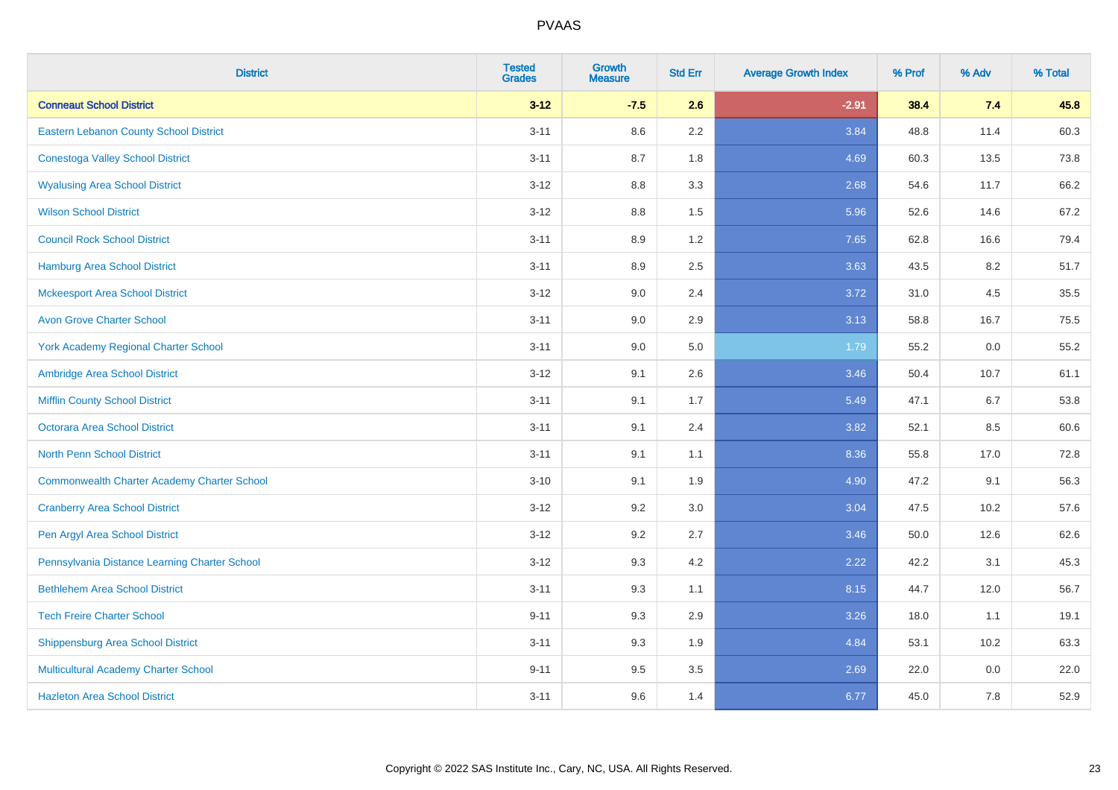| <b>District</b>                                    | <b>Tested</b><br><b>Grades</b> | <b>Growth</b><br><b>Measure</b> | <b>Std Err</b> | <b>Average Growth Index</b> | % Prof | % Adv | % Total |
|----------------------------------------------------|--------------------------------|---------------------------------|----------------|-----------------------------|--------|-------|---------|
| <b>Conneaut School District</b>                    | $3 - 12$                       | $-7.5$                          | 2.6            | $-2.91$                     | 38.4   | 7.4   | 45.8    |
| Eastern Lebanon County School District             | $3 - 11$                       | 8.6                             | 2.2            | 3.84                        | 48.8   | 11.4  | 60.3    |
| <b>Conestoga Valley School District</b>            | $3 - 11$                       | 8.7                             | 1.8            | 4.69                        | 60.3   | 13.5  | 73.8    |
| <b>Wyalusing Area School District</b>              | $3 - 12$                       | 8.8                             | 3.3            | 2.68                        | 54.6   | 11.7  | 66.2    |
| <b>Wilson School District</b>                      | $3 - 12$                       | 8.8                             | 1.5            | 5.96                        | 52.6   | 14.6  | 67.2    |
| <b>Council Rock School District</b>                | $3 - 11$                       | 8.9                             | 1.2            | 7.65                        | 62.8   | 16.6  | 79.4    |
| Hamburg Area School District                       | $3 - 11$                       | 8.9                             | 2.5            | 3.63                        | 43.5   | 8.2   | 51.7    |
| <b>Mckeesport Area School District</b>             | $3 - 12$                       | 9.0                             | 2.4            | 3.72                        | 31.0   | 4.5   | 35.5    |
| <b>Avon Grove Charter School</b>                   | $3 - 11$                       | 9.0                             | 2.9            | 3.13                        | 58.8   | 16.7  | 75.5    |
| <b>York Academy Regional Charter School</b>        | $3 - 11$                       | 9.0                             | 5.0            | 1.79                        | 55.2   | 0.0   | 55.2    |
| Ambridge Area School District                      | $3 - 12$                       | 9.1                             | 2.6            | 3.46                        | 50.4   | 10.7  | 61.1    |
| <b>Mifflin County School District</b>              | $3 - 11$                       | 9.1                             | 1.7            | 5.49                        | 47.1   | 6.7   | 53.8    |
| <b>Octorara Area School District</b>               | $3 - 11$                       | 9.1                             | 2.4            | 3.82                        | 52.1   | 8.5   | 60.6    |
| <b>North Penn School District</b>                  | $3 - 11$                       | 9.1                             | 1.1            | 8.36                        | 55.8   | 17.0  | 72.8    |
| <b>Commonwealth Charter Academy Charter School</b> | $3 - 10$                       | 9.1                             | 1.9            | 4.90                        | 47.2   | 9.1   | 56.3    |
| <b>Cranberry Area School District</b>              | $3 - 12$                       | 9.2                             | 3.0            | 3.04                        | 47.5   | 10.2  | 57.6    |
| Pen Argyl Area School District                     | $3 - 12$                       | 9.2                             | 2.7            | 3.46                        | 50.0   | 12.6  | 62.6    |
| Pennsylvania Distance Learning Charter School      | $3-12$                         | 9.3                             | 4.2            | 2.22                        | 42.2   | 3.1   | 45.3    |
| <b>Bethlehem Area School District</b>              | $3 - 11$                       | 9.3                             | 1.1            | 8.15                        | 44.7   | 12.0  | 56.7    |
| <b>Tech Freire Charter School</b>                  | $9 - 11$                       | 9.3                             | 2.9            | 3.26                        | 18.0   | 1.1   | 19.1    |
| <b>Shippensburg Area School District</b>           | $3 - 11$                       | 9.3                             | 1.9            | 4.84                        | 53.1   | 10.2  | 63.3    |
| Multicultural Academy Charter School               | $9 - 11$                       | 9.5                             | 3.5            | 2.69                        | 22.0   | 0.0   | 22.0    |
| <b>Hazleton Area School District</b>               | $3 - 11$                       | 9.6                             | 1.4            | 6.77                        | 45.0   | 7.8   | 52.9    |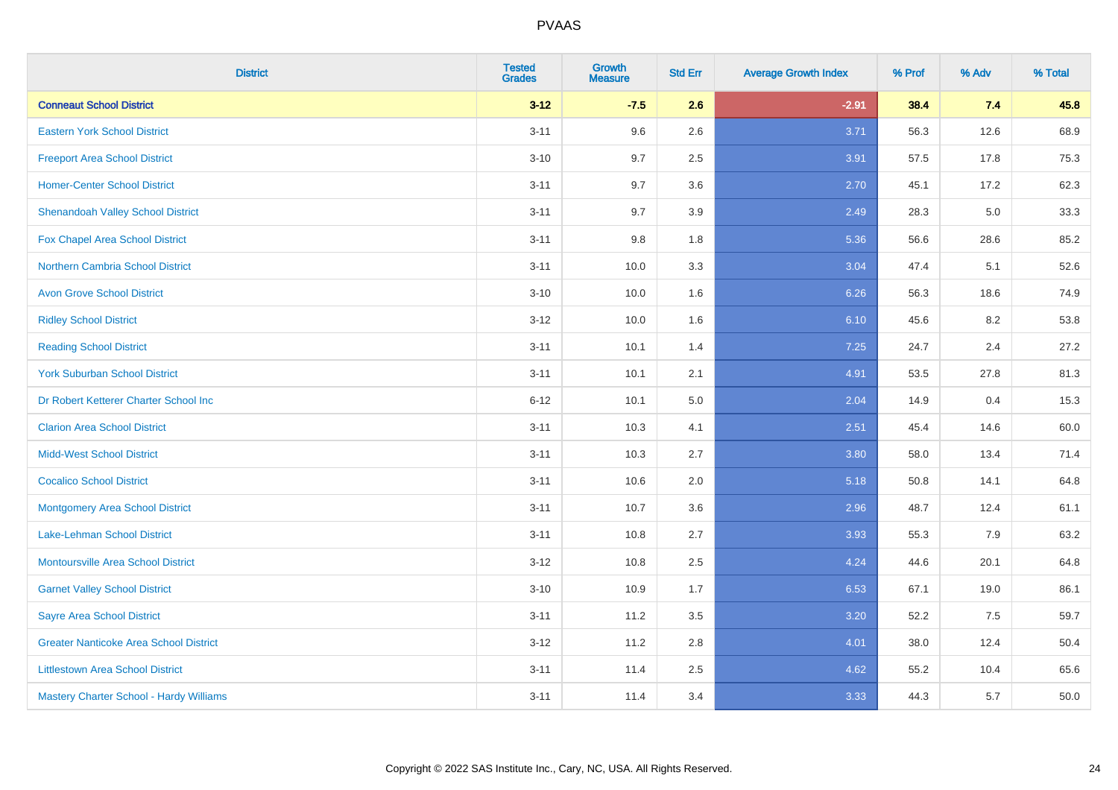| <b>District</b>                               | <b>Tested</b><br><b>Grades</b> | <b>Growth</b><br><b>Measure</b> | <b>Std Err</b> | <b>Average Growth Index</b> | % Prof | % Adv | % Total |
|-----------------------------------------------|--------------------------------|---------------------------------|----------------|-----------------------------|--------|-------|---------|
| <b>Conneaut School District</b>               | $3 - 12$                       | $-7.5$                          | 2.6            | $-2.91$                     | 38.4   | 7.4   | 45.8    |
| <b>Eastern York School District</b>           | $3 - 11$                       | 9.6                             | 2.6            | 3.71                        | 56.3   | 12.6  | 68.9    |
| <b>Freeport Area School District</b>          | $3 - 10$                       | 9.7                             | 2.5            | 3.91                        | 57.5   | 17.8  | 75.3    |
| <b>Homer-Center School District</b>           | $3 - 11$                       | 9.7                             | 3.6            | 2.70                        | 45.1   | 17.2  | 62.3    |
| <b>Shenandoah Valley School District</b>      | $3 - 11$                       | 9.7                             | 3.9            | 2.49                        | 28.3   | 5.0   | 33.3    |
| <b>Fox Chapel Area School District</b>        | $3 - 11$                       | 9.8                             | 1.8            | 5.36                        | 56.6   | 28.6  | 85.2    |
| Northern Cambria School District              | $3 - 11$                       | 10.0                            | 3.3            | 3.04                        | 47.4   | 5.1   | 52.6    |
| <b>Avon Grove School District</b>             | $3 - 10$                       | 10.0                            | 1.6            | 6.26                        | 56.3   | 18.6  | 74.9    |
| <b>Ridley School District</b>                 | $3 - 12$                       | 10.0                            | 1.6            | 6.10                        | 45.6   | 8.2   | 53.8    |
| <b>Reading School District</b>                | $3 - 11$                       | 10.1                            | 1.4            | 7.25                        | 24.7   | 2.4   | 27.2    |
| <b>York Suburban School District</b>          | $3 - 11$                       | 10.1                            | 2.1            | 4.91                        | 53.5   | 27.8  | 81.3    |
| Dr Robert Ketterer Charter School Inc         | $6 - 12$                       | 10.1                            | 5.0            | 2.04                        | 14.9   | 0.4   | 15.3    |
| <b>Clarion Area School District</b>           | $3 - 11$                       | 10.3                            | 4.1            | 2.51                        | 45.4   | 14.6  | 60.0    |
| <b>Midd-West School District</b>              | $3 - 11$                       | 10.3                            | 2.7            | 3.80                        | 58.0   | 13.4  | 71.4    |
| <b>Cocalico School District</b>               | $3 - 11$                       | 10.6                            | 2.0            | 5.18                        | 50.8   | 14.1  | 64.8    |
| <b>Montgomery Area School District</b>        | $3 - 11$                       | 10.7                            | 3.6            | 2.96                        | 48.7   | 12.4  | 61.1    |
| Lake-Lehman School District                   | $3 - 11$                       | 10.8                            | 2.7            | 3.93                        | 55.3   | 7.9   | 63.2    |
| <b>Montoursville Area School District</b>     | $3 - 12$                       | 10.8                            | 2.5            | 4.24                        | 44.6   | 20.1  | 64.8    |
| <b>Garnet Valley School District</b>          | $3 - 10$                       | 10.9                            | 1.7            | 6.53                        | 67.1   | 19.0  | 86.1    |
| <b>Sayre Area School District</b>             | $3 - 11$                       | 11.2                            | 3.5            | 3.20                        | 52.2   | 7.5   | 59.7    |
| <b>Greater Nanticoke Area School District</b> | $3-12$                         | 11.2                            | 2.8            | 4.01                        | 38.0   | 12.4  | 50.4    |
| <b>Littlestown Area School District</b>       | $3 - 11$                       | 11.4                            | 2.5            | 4.62                        | 55.2   | 10.4  | 65.6    |
| Mastery Charter School - Hardy Williams       | $3 - 11$                       | 11.4                            | 3.4            | 3.33                        | 44.3   | 5.7   | 50.0    |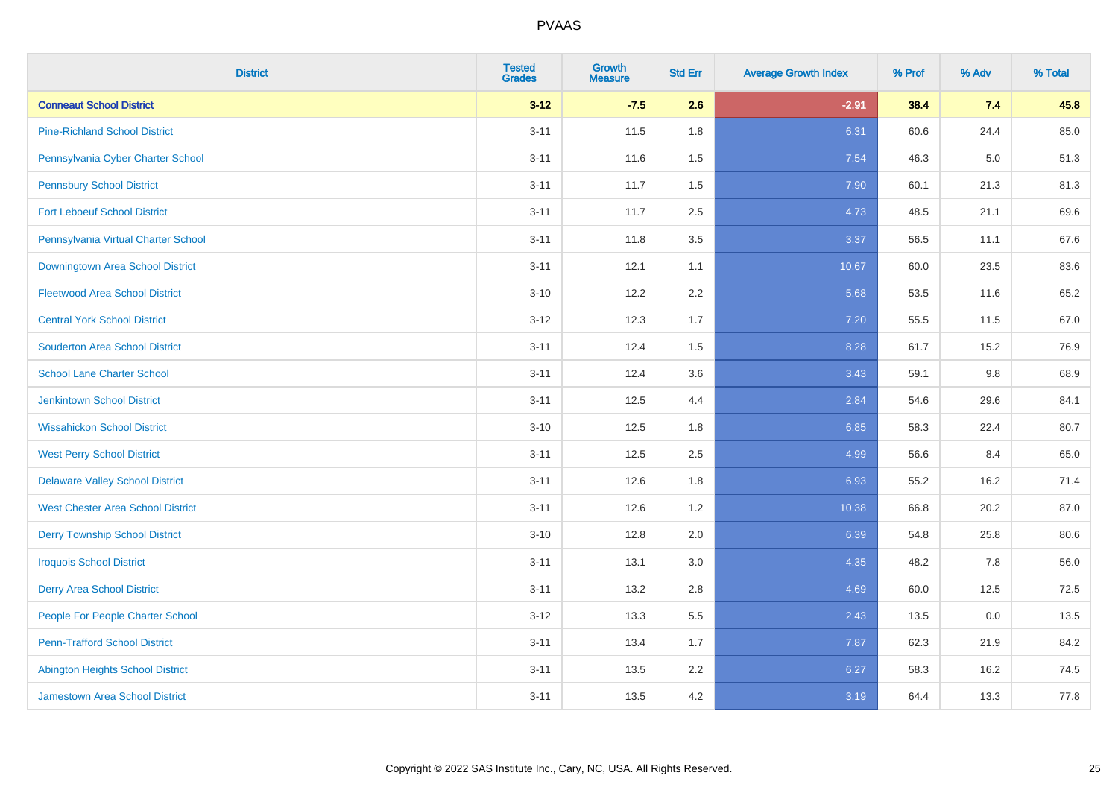| <b>District</b>                          | <b>Tested</b><br><b>Grades</b> | <b>Growth</b><br><b>Measure</b> | <b>Std Err</b> | <b>Average Growth Index</b> | % Prof | % Adv | % Total |
|------------------------------------------|--------------------------------|---------------------------------|----------------|-----------------------------|--------|-------|---------|
| <b>Conneaut School District</b>          | $3 - 12$                       | $-7.5$                          | 2.6            | $-2.91$                     | 38.4   | 7.4   | 45.8    |
| <b>Pine-Richland School District</b>     | $3 - 11$                       | 11.5                            | 1.8            | 6.31                        | 60.6   | 24.4  | 85.0    |
| Pennsylvania Cyber Charter School        | $3 - 11$                       | 11.6                            | 1.5            | 7.54                        | 46.3   | 5.0   | 51.3    |
| <b>Pennsbury School District</b>         | $3 - 11$                       | 11.7                            | 1.5            | 7.90                        | 60.1   | 21.3  | 81.3    |
| <b>Fort Leboeuf School District</b>      | $3 - 11$                       | 11.7                            | 2.5            | 4.73                        | 48.5   | 21.1  | 69.6    |
| Pennsylvania Virtual Charter School      | $3 - 11$                       | 11.8                            | 3.5            | 3.37                        | 56.5   | 11.1  | 67.6    |
| Downingtown Area School District         | $3 - 11$                       | 12.1                            | 1.1            | 10.67                       | 60.0   | 23.5  | 83.6    |
| <b>Fleetwood Area School District</b>    | $3 - 10$                       | 12.2                            | 2.2            | 5.68                        | 53.5   | 11.6  | 65.2    |
| <b>Central York School District</b>      | $3 - 12$                       | 12.3                            | 1.7            | 7.20                        | 55.5   | 11.5  | 67.0    |
| <b>Souderton Area School District</b>    | $3 - 11$                       | 12.4                            | 1.5            | 8.28                        | 61.7   | 15.2  | 76.9    |
| <b>School Lane Charter School</b>        | $3 - 11$                       | 12.4                            | 3.6            | 3.43                        | 59.1   | 9.8   | 68.9    |
| <b>Jenkintown School District</b>        | $3 - 11$                       | 12.5                            | 4.4            | 2.84                        | 54.6   | 29.6  | 84.1    |
| <b>Wissahickon School District</b>       | $3 - 10$                       | 12.5                            | 1.8            | 6.85                        | 58.3   | 22.4  | 80.7    |
| <b>West Perry School District</b>        | $3 - 11$                       | 12.5                            | 2.5            | 4.99                        | 56.6   | 8.4   | 65.0    |
| <b>Delaware Valley School District</b>   | $3 - 11$                       | 12.6                            | 1.8            | 6.93                        | 55.2   | 16.2  | 71.4    |
| <b>West Chester Area School District</b> | $3 - 11$                       | 12.6                            | 1.2            | 10.38                       | 66.8   | 20.2  | 87.0    |
| <b>Derry Township School District</b>    | $3 - 10$                       | 12.8                            | 2.0            | 6.39                        | 54.8   | 25.8  | 80.6    |
| <b>Iroquois School District</b>          | $3 - 11$                       | 13.1                            | 3.0            | 4.35                        | 48.2   | 7.8   | 56.0    |
| <b>Derry Area School District</b>        | $3 - 11$                       | 13.2                            | 2.8            | 4.69                        | 60.0   | 12.5  | 72.5    |
| People For People Charter School         | $3 - 12$                       | 13.3                            | 5.5            | 2.43                        | 13.5   | 0.0   | 13.5    |
| <b>Penn-Trafford School District</b>     | $3 - 11$                       | 13.4                            | 1.7            | 7.87                        | 62.3   | 21.9  | 84.2    |
| <b>Abington Heights School District</b>  | $3 - 11$                       | 13.5                            | 2.2            | 6.27                        | 58.3   | 16.2  | 74.5    |
| <b>Jamestown Area School District</b>    | $3 - 11$                       | 13.5                            | 4.2            | 3.19                        | 64.4   | 13.3  | 77.8    |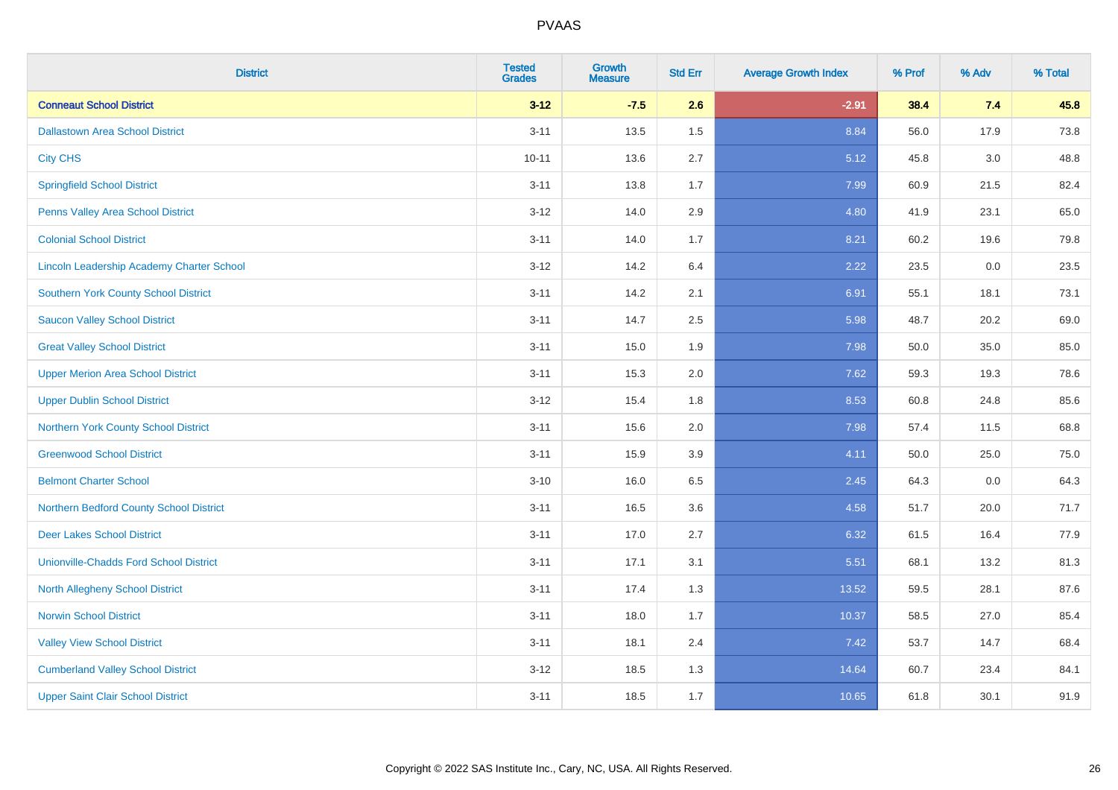| <b>District</b>                                  | <b>Tested</b><br><b>Grades</b> | <b>Growth</b><br><b>Measure</b> | <b>Std Err</b> | <b>Average Growth Index</b> | % Prof | % Adv   | % Total |
|--------------------------------------------------|--------------------------------|---------------------------------|----------------|-----------------------------|--------|---------|---------|
| <b>Conneaut School District</b>                  | $3 - 12$                       | $-7.5$                          | 2.6            | $-2.91$                     | 38.4   | 7.4     | 45.8    |
| <b>Dallastown Area School District</b>           | $3 - 11$                       | 13.5                            | 1.5            | 8.84                        | 56.0   | 17.9    | 73.8    |
| <b>City CHS</b>                                  | $10 - 11$                      | 13.6                            | 2.7            | 5.12                        | 45.8   | 3.0     | 48.8    |
| <b>Springfield School District</b>               | $3 - 11$                       | 13.8                            | 1.7            | 7.99                        | 60.9   | 21.5    | 82.4    |
| Penns Valley Area School District                | $3 - 12$                       | 14.0                            | 2.9            | 4.80                        | 41.9   | 23.1    | 65.0    |
| <b>Colonial School District</b>                  | $3 - 11$                       | 14.0                            | 1.7            | 8.21                        | 60.2   | 19.6    | 79.8    |
| <b>Lincoln Leadership Academy Charter School</b> | $3 - 12$                       | 14.2                            | 6.4            | 2.22                        | 23.5   | $0.0\,$ | 23.5    |
| <b>Southern York County School District</b>      | $3 - 11$                       | 14.2                            | 2.1            | 6.91                        | 55.1   | 18.1    | 73.1    |
| <b>Saucon Valley School District</b>             | $3 - 11$                       | 14.7                            | 2.5            | 5.98                        | 48.7   | 20.2    | 69.0    |
| <b>Great Valley School District</b>              | $3 - 11$                       | 15.0                            | 1.9            | 7.98                        | 50.0   | 35.0    | 85.0    |
| <b>Upper Merion Area School District</b>         | $3 - 11$                       | 15.3                            | 2.0            | 7.62                        | 59.3   | 19.3    | 78.6    |
| <b>Upper Dublin School District</b>              | $3 - 12$                       | 15.4                            | 1.8            | 8.53                        | 60.8   | 24.8    | 85.6    |
| Northern York County School District             | $3 - 11$                       | 15.6                            | 2.0            | 7.98                        | 57.4   | 11.5    | 68.8    |
| <b>Greenwood School District</b>                 | $3 - 11$                       | 15.9                            | 3.9            | 4.11                        | 50.0   | 25.0    | 75.0    |
| <b>Belmont Charter School</b>                    | $3 - 10$                       | 16.0                            | 6.5            | 2.45                        | 64.3   | 0.0     | 64.3    |
| Northern Bedford County School District          | $3 - 11$                       | 16.5                            | 3.6            | 4.58                        | 51.7   | 20.0    | 71.7    |
| <b>Deer Lakes School District</b>                | $3 - 11$                       | 17.0                            | 2.7            | 6.32                        | 61.5   | 16.4    | 77.9    |
| <b>Unionville-Chadds Ford School District</b>    | $3 - 11$                       | 17.1                            | 3.1            | 5.51                        | 68.1   | 13.2    | 81.3    |
| <b>North Allegheny School District</b>           | $3 - 11$                       | 17.4                            | 1.3            | 13.52                       | 59.5   | 28.1    | 87.6    |
| <b>Norwin School District</b>                    | $3 - 11$                       | 18.0                            | 1.7            | 10.37                       | 58.5   | 27.0    | 85.4    |
| <b>Valley View School District</b>               | $3 - 11$                       | 18.1                            | 2.4            | 7.42                        | 53.7   | 14.7    | 68.4    |
| <b>Cumberland Valley School District</b>         | $3 - 12$                       | 18.5                            | 1.3            | 14.64                       | 60.7   | 23.4    | 84.1    |
| <b>Upper Saint Clair School District</b>         | $3 - 11$                       | 18.5                            | 1.7            | 10.65                       | 61.8   | 30.1    | 91.9    |